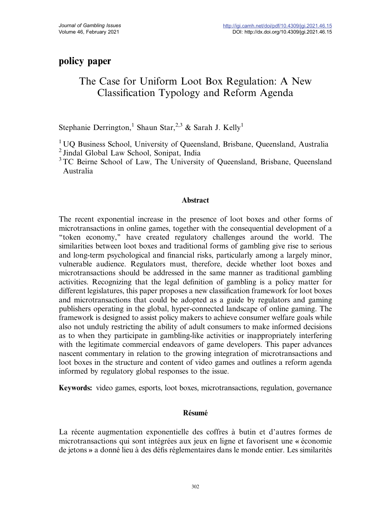# policy paper

# The Case for Uniform Loot Box Regulation: A New Classification Typology and Reform Agenda

Stephanie Derrington,<sup>1</sup> Shaun Star,<sup>2,3</sup> & Sarah J. Kelly<sup>1</sup>

<sup>1</sup> UO Business School, University of Queensland, Brisbane, Queensland, Australia <sup>2</sup> Jindal Global Law School, Sonipat, India

<sup>3</sup>TC Beirne School of Law, The University of Oueensland, Brisbane, Oueensland Australia

# Abstract

The recent exponential increase in the presence of loot boxes and other forms of microtransactions in online games, together with the consequential development of a ''token economy,'' have created regulatory challenges around the world. The similarities between loot boxes and traditional forms of gambling give rise to serious and long-term psychological and financial risks, particularly among a largely minor, vulnerable audience. Regulators must, therefore, decide whether loot boxes and microtransactions should be addressed in the same manner as traditional gambling activities. Recognizing that the legal definition of gambling is a policy matter for different legislatures, this paper proposes a new classification framework for loot boxes and microtransactions that could be adopted as a guide by regulators and gaming publishers operating in the global, hyper-connected landscape of online gaming. The framework is designed to assist policy makers to achieve consumer welfare goals while also not unduly restricting the ability of adult consumers to make informed decisions as to when they participate in gambling-like activities or inappropriately interfering with the legitimate commercial endeavors of game developers. This paper advances nascent commentary in relation to the growing integration of microtransactions and loot boxes in the structure and content of video games and outlines a reform agenda informed by regulatory global responses to the issue.

Keywords: video games, esports, loot boxes, microtransactions, regulation, governance

# Résumé

La récente augmentation exponentielle des coffres à butin et d'autres formes de microtransactions qui sont intégrées aux jeux en ligne et favorisent une ) économie de jetons » a donné lieu à des défis réglementaires dans le monde entier. Les similarités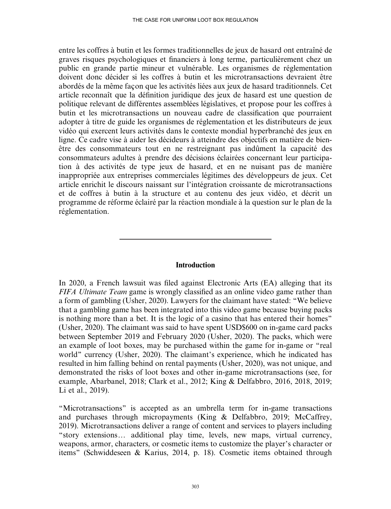entre les coffres à butin et les formes traditionnelles de jeux de hasard ont entraîné de graves risques psychologiques et financiers à long terme, particulièrement chez un public en grande partie mineur et vulnérable. Les organismes de réglementation doivent donc décider si les coffres à butin et les microtransactions devraient être abordés de la même façon que les activités liées aux jeux de hasard traditionnels. Cet article reconnaît que la définition juridique des jeux de hasard est une question de politique relevant de différentes assemblées législatives, et propose pour les coffres à butin et les microtransactions un nouveau cadre de classification que pourraient adopter à titre de guide les organismes de réglementation et les distributeurs de jeux vidéo qui exercent leurs activités dans le contexte mondial hyperbranché des jeux en ligne. Ce cadre vise à aider les décideurs à atteindre des objectifs en matière de bienêtre des consommateurs tout en ne restreignant pas indûment la capacité des consommateurs adultes à prendre des décisions éclairées concernant leur participation à des activités de type jeux de hasard, et en ne nuisant pas de manière inappropriée aux entreprises commerciales légitimes des développeurs de jeux. Cet article enrichit le discours naissant sur l'intégration croissante de microtransactions et de coffres à butin à la structure et au contenu des jeux vidéo, et décrit un programme de réforme éclairé par la réaction mondiale à la question sur le plan de la réglementation.

#### **Introduction**

In 2020, a French lawsuit was filed against Electronic Arts (EA) alleging that its FIFA Ultimate Team game is wrongly classified as an online video game rather than a form of gambling (Usher, 2020). Lawyers for the claimant have stated: ''We believe that a gambling game has been integrated into this video game because buying packs is nothing more than a bet. It is the logic of a casino that has entered their homes'' (Usher, 2020). The claimant was said to have spent USD\$600 on in-game card packs between September 2019 and February 2020 (Usher, 2020). The packs, which were an example of loot boxes, may be purchased within the game for in-game or ''real world'' currency (Usher, 2020). The claimant's experience, which he indicated has resulted in him falling behind on rental payments (Usher, 2020), was not unique, and demonstrated the risks of loot boxes and other in-game microtransactions (see, for example, Abarbanel, 2018; Clark et al., 2012; King & Delfabbro, 2016, 2018, 2019; Li et al., 2019).

''Microtransactions'' is accepted as an umbrella term for in-game transactions and purchases through micropayments (King & Delfabbro, 2019; McCaffrey, 2019). Microtransactions deliver a range of content and services to players including "story extensions... additional play time, levels, new maps, virtual currency, weapons, armor, characters, or cosmetic items to customize the player's character or items'' (Schwiddeseen & Karius, 2014, p. 18). Cosmetic items obtained through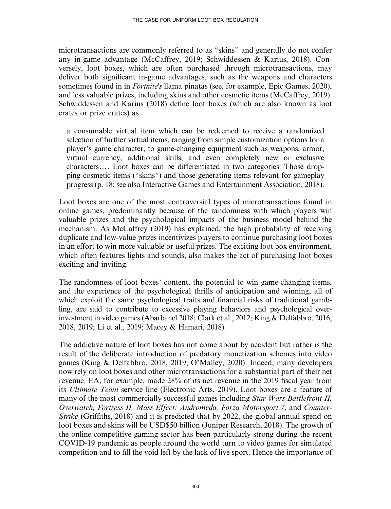microtransactions are commonly referred to as ''skins'' and generally do not confer any in-game advantage (McCaffrey, 2019; Schwiddessen & Karius, 2018). Conversely, loot boxes, which are often purchased through microtransactions, may deliver both significant in-game advantages, such as the weapons and characters sometimes found in in *Fortnite's* llama pinatas (see, for example, Epic Games, 2020), and less valuable prizes, including skins and other cosmetic items (McCaffrey, 2019). Schwiddessen and Karius (2018) define loot boxes (which are also known as loot crates or prize crates) as

a consumable virtual item which can be redeemed to receive a randomized selection of further virtual items, ranging from simple customization options for a player's game character, to game-changing equipment such as weapons, armor, virtual currency, additional skills, and even completely new or exclusive characters.... Loot boxes can be differentiated in two categories: Those dropping cosmetic items (''skins'') and those generating items relevant for gameplay progress (p. 18; see also Interactive Games and Entertainment Association, 2018).

Loot boxes are one of the most controversial types of microtransactions found in online games, predominantly because of the randomness with which players win valuable prizes and the psychological impacts of the business model behind the mechanism. As McCaffrey (2019) has explained, the high probability of receiving duplicate and low-value prizes incentivizes players to continue purchasing loot boxes in an effort to win more valuable or useful prizes. The exciting loot box environment, which often features lights and sounds, also makes the act of purchasing loot boxes exciting and inviting.

The randomness of loot boxes' content, the potential to win game-changing items, and the experience of the psychological thrills of anticipation and winning, all of which exploit the same psychological traits and financial risks of traditional gambling, are said to contribute to excessive playing behaviors and psychological overinvestment in video games (Abarbanel 2018; Clark et al., 2012; King & Delfabbro, 2016, 2018, 2019; Li et al., 2019; Macey & Hamari, 2018).

The addictive nature of loot boxes has not come about by accident but rather is the result of the deliberate introduction of predatory monetization schemes into video games (King & Delfabbro, 2018, 2019; O'Malley, 2020). Indeed, many developers now rely on loot boxes and other microtransactions for a substantial part of their net revenue. EA, for example, made 28% of its net revenue in the 2019 fiscal year from its Ultimate Team service line (Electronic Arts, 2019). Loot boxes are a feature of many of the most commercially successful games including *Star Wars Battlefront II*, Overwatch, Fortress II, Mass Effect: Andromeda, Forza Motorsport 7, and Counter-Strike (Griffiths, 2018) and it is predicted that by 2022, the global annual spend on loot boxes and skins will be USD\$50 billion (Juniper Research, 2018). The growth of the online competitive gaming sector has been particularly strong during the recent COVID-19 pandemic as people around the world turn to video games for simulated competition and to fill the void left by the lack of live sport. Hence the importance of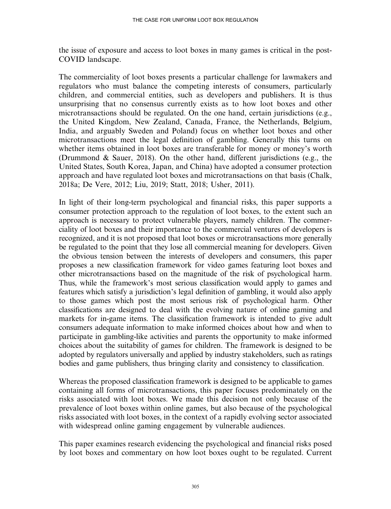the issue of exposure and access to loot boxes in many games is critical in the post-COVID landscape.

The commerciality of loot boxes presents a particular challenge for lawmakers and regulators who must balance the competing interests of consumers, particularly children, and commercial entities, such as developers and publishers. It is thus unsurprising that no consensus currently exists as to how loot boxes and other microtransactions should be regulated. On the one hand, certain jurisdictions (e.g., the United Kingdom, New Zealand, Canada, France, the Netherlands, Belgium, India, and arguably Sweden and Poland) focus on whether loot boxes and other microtransactions meet the legal definition of gambling. Generally this turns on whether items obtained in loot boxes are transferable for money or money's worth (Drummond & Sauer, 2018). On the other hand, different jurisdictions (e.g., the United States, South Korea, Japan, and China) have adopted a consumer protection approach and have regulated loot boxes and microtransactions on that basis (Chalk, 2018a; De Vere, 2012; Liu, 2019; Statt, 2018; Usher, 2011).

In light of their long-term psychological and financial risks, this paper supports a consumer protection approach to the regulation of loot boxes, to the extent such an approach is necessary to protect vulnerable players, namely children. The commerciality of loot boxes and their importance to the commercial ventures of developers is recognized, and it is not proposed that loot boxes or microtransactions more generally be regulated to the point that they lose all commercial meaning for developers. Given the obvious tension between the interests of developers and consumers, this paper proposes a new classification framework for video games featuring loot boxes and other microtransactions based on the magnitude of the risk of psychological harm. Thus, while the framework's most serious classification would apply to games and features which satisfy a jurisdiction's legal definition of gambling, it would also apply to those games which post the most serious risk of psychological harm. Other classifications are designed to deal with the evolving nature of online gaming and markets for in-game items. The classification framework is intended to give adult consumers adequate information to make informed choices about how and when to participate in gambling-like activities and parents the opportunity to make informed choices about the suitability of games for children. The framework is designed to be adopted by regulators universally and applied by industry stakeholders, such as ratings bodies and game publishers, thus bringing clarity and consistency to classification.

Whereas the proposed classification framework is designed to be applicable to games containing all forms of microtransactions, this paper focuses predominately on the risks associated with loot boxes. We made this decision not only because of the prevalence of loot boxes within online games, but also because of the psychological risks associated with loot boxes, in the context of a rapidly evolving sector associated with widespread online gaming engagement by vulnerable audiences.

This paper examines research evidencing the psychological and financial risks posed by loot boxes and commentary on how loot boxes ought to be regulated. Current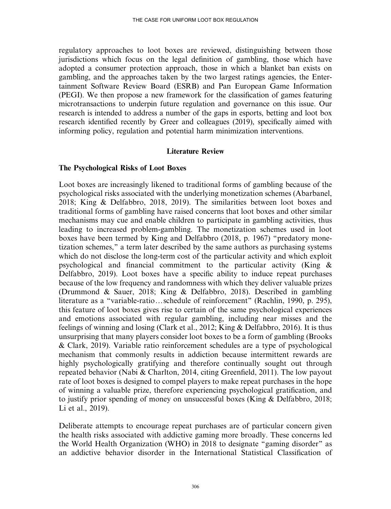regulatory approaches to loot boxes are reviewed, distinguishing between those jurisdictions which focus on the legal definition of gambling, those which have adopted a consumer protection approach, those in which a blanket ban exists on gambling, and the approaches taken by the two largest ratings agencies, the Entertainment Software Review Board (ESRB) and Pan European Game Information (PEGI). We then propose a new framework for the classification of games featuring microtransactions to underpin future regulation and governance on this issue. Our research is intended to address a number of the gaps in esports, betting and loot box research identified recently by Greer and colleagues (2019), specifically aimed with informing policy, regulation and potential harm minimization interventions.

### Literature Review

### The Psychological Risks of Loot Boxes

Loot boxes are increasingly likened to traditional forms of gambling because of the psychological risks associated with the underlying monetization schemes (Abarbanel, 2018; King & Delfabbro, 2018, 2019). The similarities between loot boxes and traditional forms of gambling have raised concerns that loot boxes and other similar mechanisms may cue and enable children to participate in gambling activities, thus leading to increased problem-gambling. The monetization schemes used in loot boxes have been termed by King and Delfabbro (2018, p. 1967) ''predatory monetization schemes,'' a term later described by the same authors as purchasing systems which do not disclose the long-term cost of the particular activity and which exploit psychological and financial commitment to the particular activity (King & Delfabbro, 2019). Loot boxes have a specific ability to induce repeat purchases because of the low frequency and randomness with which they deliver valuable prizes (Drummond & Sauer, 2018; King & Delfabbro, 2018). Described in gambling literature as a "variable-ratio...schedule of reinforcement" (Rachlin, 1990, p. 295), this feature of loot boxes gives rise to certain of the same psychological experiences and emotions associated with regular gambling, including near misses and the feelings of winning and losing (Clark et al., 2012; King & Delfabbro, 2016). It is thus unsurprising that many players consider loot boxes to be a form of gambling (Brooks & Clark, 2019). Variable ratio reinforcement schedules are a type of psychological mechanism that commonly results in addiction because intermittent rewards are highly psychologically gratifying and therefore continually sought out through repeated behavior (Nabi & Charlton, 2014, citing Greenfield, 2011). The low payout rate of loot boxes is designed to compel players to make repeat purchases in the hope of winning a valuable prize, therefore experiencing psychological gratification, and to justify prior spending of money on unsuccessful boxes (King & Delfabbro, 2018; Li et al., 2019).

Deliberate attempts to encourage repeat purchases are of particular concern given the health risks associated with addictive gaming more broadly. These concerns led the World Health Organization (WHO) in 2018 to designate ''gaming disorder'' as an addictive behavior disorder in the International Statistical Classification of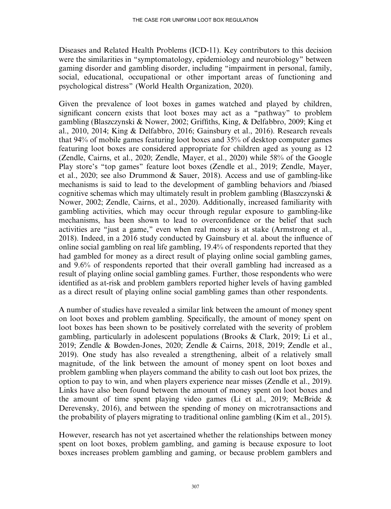Diseases and Related Health Problems (ICD-11). Key contributors to this decision were the similarities in ''symptomatology, epidemiology and neurobiology'' between gaming disorder and gambling disorder, including ''impairment in personal, family, social, educational, occupational or other important areas of functioning and psychological distress'' (World Health Organization, 2020).

Given the prevalence of loot boxes in games watched and played by children, significant concern exists that loot boxes may act as a ''pathway'' to problem gambling (Blaszczynski & Nower, 2002; Griffiths, King, & Delfabbro, 2009; King et al., 2010, 2014; King & Delfabbro, 2016; Gainsbury et al., 2016). Research reveals that 94% of mobile games featuring loot boxes and 35% of desktop computer games featuring loot boxes are considered appropriate for children aged as young as 12 (Zendle, Cairns, et al., 2020; Zendle, Mayer, et al., 2020) while 58% of the Google Play store's ''top games'' feature loot boxes (Zendle et al., 2019; Zendle, Mayer, et al., 2020; see also Drummond & Sauer, 2018). Access and use of gambling-like mechanisms is said to lead to the development of gambling behaviors and /biased cognitive schemas which may ultimately result in problem gambling (Blaszczynski & Nower, 2002; Zendle, Cairns, et al., 2020). Additionally, increased familiarity with gambling activities, which may occur through regular exposure to gambling-like mechanisms, has been shown to lead to overconfidence or the belief that such activities are ''just a game,'' even when real money is at stake (Armstrong et al., 2018). Indeed, in a 2016 study conducted by Gainsbury et al. about the influence of online social gambling on real life gambling, 19.4% of respondents reported that they had gambled for money as a direct result of playing online social gambling games, and 9.6% of respondents reported that their overall gambling had increased as a result of playing online social gambling games. Further, those respondents who were identified as at-risk and problem gamblers reported higher levels of having gambled as a direct result of playing online social gambling games than other respondents.

A number of studies have revealed a similar link between the amount of money spent on loot boxes and problem gambling. Specifically, the amount of money spent on loot boxes has been shown to be positively correlated with the severity of problem gambling, particularly in adolescent populations (Brooks & Clark, 2019; Li et al., 2019; Zendle & Bowden-Jones, 2020; Zendle & Cairns, 2018, 2019; Zendle et al., 2019). One study has also revealed a strengthening, albeit of a relatively small magnitude, of the link between the amount of money spent on loot boxes and problem gambling when players command the ability to cash out loot box prizes, the option to pay to win, and when players experience near misses (Zendle et al., 2019). Links have also been found between the amount of money spent on loot boxes and the amount of time spent playing video games (Li et al., 2019; McBride & Derevensky, 2016), and between the spending of money on microtransactions and the probability of players migrating to traditional online gambling (Kim et al., 2015).

However, research has not yet ascertained whether the relationships between money spent on loot boxes, problem gambling, and gaming is because exposure to loot boxes increases problem gambling and gaming, or because problem gamblers and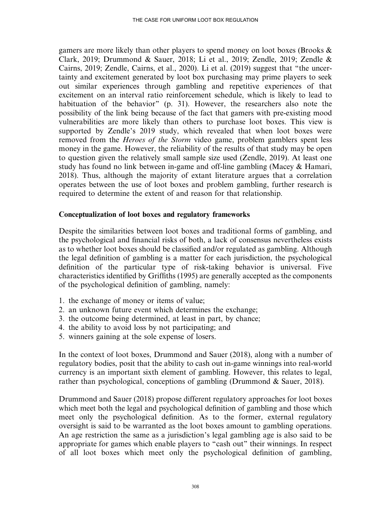gamers are more likely than other players to spend money on loot boxes (Brooks & Clark, 2019; Drummond & Sauer, 2018; Li et al., 2019; Zendle, 2019; Zendle & Cairns, 2019; Zendle, Cairns, et al., 2020). Li et al. (2019) suggest that ''the uncertainty and excitement generated by loot box purchasing may prime players to seek out similar experiences through gambling and repetitive experiences of that excitement on an interval ratio reinforcement schedule, which is likely to lead to habituation of the behavior" (p. 31). However, the researchers also note the possibility of the link being because of the fact that gamers with pre-existing mood vulnerabilities are more likely than others to purchase loot boxes. This view is supported by Zendle's 2019 study, which revealed that when loot boxes were removed from the *Heroes of the Storm* video game, problem gamblers spent less money in the game. However, the reliability of the results of that study may be open to question given the relatively small sample size used (Zendle, 2019). At least one study has found no link between in-game and off-line gambling (Macey & Hamari, 2018). Thus, although the majority of extant literature argues that a correlation operates between the use of loot boxes and problem gambling, further research is required to determine the extent of and reason for that relationship.

## Conceptualization of loot boxes and regulatory frameworks

Despite the similarities between loot boxes and traditional forms of gambling, and the psychological and financial risks of both, a lack of consensus nevertheless exists as to whether loot boxes should be classified and/or regulated as gambling. Although the legal definition of gambling is a matter for each jurisdiction, the psychological definition of the particular type of risk-taking behavior is universal. Five characteristics identified by Griffiths (1995) are generally accepted as the components of the psychological definition of gambling, namely:

- 1. the exchange of money or items of value;
- 2. an unknown future event which determines the exchange;
- 3. the outcome being determined, at least in part, by chance;
- 4. the ability to avoid loss by not participating; and
- 5. winners gaining at the sole expense of losers.

In the context of loot boxes, Drummond and Sauer (2018), along with a number of regulatory bodies, posit that the ability to cash out in-game winnings into real-world currency is an important sixth element of gambling. However, this relates to legal, rather than psychological, conceptions of gambling (Drummond & Sauer, 2018).

Drummond and Sauer (2018) propose different regulatory approaches for loot boxes which meet both the legal and psychological definition of gambling and those which meet only the psychological definition. As to the former, external regulatory oversight is said to be warranted as the loot boxes amount to gambling operations. An age restriction the same as a jurisdiction's legal gambling age is also said to be appropriate for games which enable players to "cash out" their winnings. In respect of all loot boxes which meet only the psychological definition of gambling,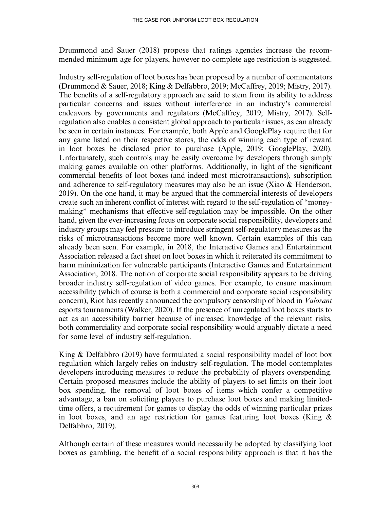Drummond and Sauer (2018) propose that ratings agencies increase the recommended minimum age for players, however no complete age restriction is suggested.

Industry self-regulation of loot boxes has been proposed by a number of commentators (Drummond & Sauer, 2018; King & Delfabbro, 2019; McCaffrey, 2019; Mistry, 2017). The benefits of a self-regulatory approach are said to stem from its ability to address particular concerns and issues without interference in an industry's commercial endeavors by governments and regulators (McCaffrey, 2019; Mistry, 2017). Selfregulation also enables a consistent global approach to particular issues, as can already be seen in certain instances. For example, both Apple and GooglePlay require that for any game listed on their respective stores, the odds of winning each type of reward in loot boxes be disclosed prior to purchase (Apple, 2019; GooglePlay, 2020). Unfortunately, such controls may be easily overcome by developers through simply making games available on other platforms. Additionally, in light of the significant commercial benefits of loot boxes (and indeed most microtransactions), subscription and adherence to self-regulatory measures may also be an issue (Xiao & Henderson, 2019). On the one hand, it may be argued that the commercial interests of developers create such an inherent conflict of interest with regard to the self-regulation of ''moneymaking'' mechanisms that effective self-regulation may be impossible. On the other hand, given the ever-increasing focus on corporate social responsibility, developers and industry groups may feel pressure to introduce stringent self-regulatory measures as the risks of microtransactions become more well known. Certain examples of this can already been seen. For example, in 2018, the Interactive Games and Entertainment Association released a fact sheet on loot boxes in which it reiterated its commitment to harm minimization for vulnerable participants (Interactive Games and Entertainment Association, 2018. The notion of corporate social responsibility appears to be driving broader industry self-regulation of video games. For example, to ensure maximum accessibility (which of course is both a commercial and corporate social responsibility concern), Riot has recently announced the compulsory censorship of blood in Valorant esports tournaments (Walker, 2020). If the presence of unregulated loot boxes starts to act as an accessibility barrier because of increased knowledge of the relevant risks, both commerciality and corporate social responsibility would arguably dictate a need for some level of industry self-regulation.

King & Delfabbro (2019) have formulated a social responsibility model of loot box regulation which largely relies on industry self-regulation. The model contemplates developers introducing measures to reduce the probability of players overspending. Certain proposed measures include the ability of players to set limits on their loot box spending, the removal of loot boxes of items which confer a competitive advantage, a ban on soliciting players to purchase loot boxes and making limitedtime offers, a requirement for games to display the odds of winning particular prizes in loot boxes, and an age restriction for games featuring loot boxes (King  $\&$ Delfabbro, 2019).

Although certain of these measures would necessarily be adopted by classifying loot boxes as gambling, the benefit of a social responsibility approach is that it has the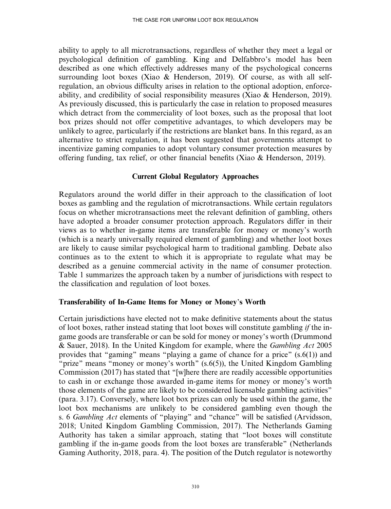ability to apply to all microtransactions, regardless of whether they meet a legal or psychological definition of gambling. King and Delfabbro's model has been described as one which effectively addresses many of the psychological concerns surrounding loot boxes (Xiao & Henderson, 2019). Of course, as with all selfregulation, an obvious difficulty arises in relation to the optional adoption, enforceability, and credibility of social responsibility measures (Xiao & Henderson, 2019). As previously discussed, this is particularly the case in relation to proposed measures which detract from the commerciality of loot boxes, such as the proposal that loot box prizes should not offer competitive advantages, to which developers may be unlikely to agree, particularly if the restrictions are blanket bans. In this regard, as an alternative to strict regulation, it has been suggested that governments attempt to incentivize gaming companies to adopt voluntary consumer protection measures by offering funding, tax relief, or other financial benefits (Xiao & Henderson, 2019).

### Current Global Regulatory Approaches

Regulators around the world differ in their approach to the classification of loot boxes as gambling and the regulation of microtransactions. While certain regulators focus on whether microtransactions meet the relevant definition of gambling, others have adopted a broader consumer protection approach. Regulators differ in their views as to whether in-game items are transferable for money or money's worth (which is a nearly universally required element of gambling) and whether loot boxes are likely to cause similar psychological harm to traditional gambling. Debate also continues as to the extent to which it is appropriate to regulate what may be described as a genuine commercial activity in the name of consumer protection. Table 1 summarizes the approach taken by a number of jurisdictions with respect to the classification and regulation of loot boxes.

#### Transferability of In-Game Items for Money or Money's Worth

Certain jurisdictions have elected not to make definitive statements about the status of loot boxes, rather instead stating that loot boxes will constitute gambling if the ingame goods are transferable or can be sold for money or money's worth (Drummond & Sauer, 2018). In the United Kingdom for example, where the *Gambling Act* 2005 provides that ''gaming'' means ''playing a game of chance for a price'' (s.6(1)) and "prize" means "money or money's worth"  $(s.6(5))$ , the United Kingdom Gambling Commission (2017) has stated that ''[w]here there are readily accessible opportunities to cash in or exchange those awarded in-game items for money or money's worth those elements of the game are likely to be considered licensable gambling activities'' (para. 3.17). Conversely, where loot box prizes can only be used within the game, the loot box mechanisms are unlikely to be considered gambling even though the s. 6 Gambling Act elements of "playing" and "chance" will be satisfied (Arvidsson, 2018; United Kingdom Gambling Commission, 2017). The Netherlands Gaming Authority has taken a similar approach, stating that ''loot boxes will constitute gambling if the in-game goods from the loot boxes are transferable'' (Netherlands Gaming Authority, 2018, para. 4). The position of the Dutch regulator is noteworthy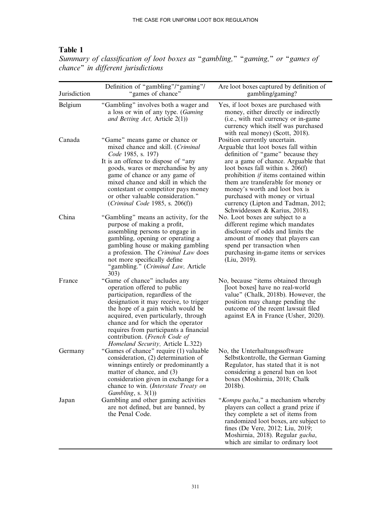# Table 1

| Jurisdiction | Definition of "gambling"/"gaming"/<br>"games of chance"                                                                                                                                                                                                                                                                                                                      | Are loot boxes captured by definition of<br>gambling/gaming?                                                                                                                                                                                                                                                                                                                                                           |
|--------------|------------------------------------------------------------------------------------------------------------------------------------------------------------------------------------------------------------------------------------------------------------------------------------------------------------------------------------------------------------------------------|------------------------------------------------------------------------------------------------------------------------------------------------------------------------------------------------------------------------------------------------------------------------------------------------------------------------------------------------------------------------------------------------------------------------|
| Belgium      | "Gambling" involves both a wager and<br>a loss or win of any type. ( <i>Gaming</i><br>and Betting Act, Article 2(1))                                                                                                                                                                                                                                                         | Yes, if loot boxes are purchased with<br>money, either directly or indirectly<br>(i.e., with real currency or in-game)<br>currency which itself was purchased<br>with real money) (Scott, 2018).                                                                                                                                                                                                                       |
| Canada       | "Game" means game or chance or<br>mixed chance and skill. (Criminal<br>Code 1985, s. 197)<br>It is an offence to dispose of "any<br>goods, wares or merchandise by any<br>game of chance or any game of<br>mixed chance and skill in which the<br>contestant or competitor pays money<br>or other valuable consideration."<br>(Criminal Code 1985, s. $206(f)$ )             | Position currently uncertain.<br>Arguable that loot boxes fall within<br>definition of "game" because they<br>are a game of chance. Arguable that<br>loot boxes fall within s. 206(f)<br>prohibition <i>if</i> items contained within<br>them are transferable for money or<br>money's worth and loot box is<br>purchased with money or virtual<br>currency (Lipton and Tadman, 2012;<br>Schwiddessen & Karius, 2018). |
| China        | "Gambling" means an activity, for the<br>purpose of making a profit,<br>assembling persons to engage in<br>gambling, opening or operating a<br>gambling house or making gambling<br>a profession. The Criminal Law does<br>not more specifically define<br>"gambling." (Criminal Law, Article<br>303)                                                                        | No. Loot boxes are subject to a<br>different regime which mandates<br>disclosure of odds and limits the<br>amount of money that players can<br>spend per transaction when<br>purchasing in-game items or services<br>(Liu, 2019).                                                                                                                                                                                      |
| France       | "Game of chance" includes any<br>operation offered to public<br>participation, regardless of the<br>designation it may receive, to trigger<br>the hope of a gain which would be<br>acquired, even particularly, through<br>chance and for which the operator<br>requires from participants a financial<br>contribution. (French Code of<br>Homeland Security, Article L.322) | No, because "items obtained through<br>[loot boxes] have no real-world<br>value" (Chalk, 2018b). However, the<br>position may change pending the<br>outcome of the recent lawsuit filed<br>against EA in France (Usher, 2020).                                                                                                                                                                                         |
| Germany      | "Games of chance" require (1) valuable<br>consideration, (2) determination of<br>winnings entirely or predominantly a<br>matter of chance, and (3)<br>consideration given in exchange for a<br>chance to win. (Interstate Treaty on<br>Gambling, s. $3(1)$ )                                                                                                                 | No, the Unterhaltungssoftware<br>Selbstkontrolle, the German Gaming<br>Regulator, has stated that it is not<br>considering a general ban on loot<br>boxes (Moshirnia, 2018; Chalk<br>2018b).                                                                                                                                                                                                                           |
| Japan        | Gambling and other gaming activities<br>are not defined, but are banned, by<br>the Penal Code.                                                                                                                                                                                                                                                                               | "Kompu gacha," a mechanism whereby<br>players can collect a grand prize if<br>they complete a set of items from<br>randomized loot boxes, are subject to<br>fines (De Vere, 2012; Liu, 2019;<br>Moshirnia, 2018). Regular gacha,<br>which are similar to ordinary loot                                                                                                                                                 |

Summary of classification of loot boxes as "gambling," "gaming," or "games of chance'' in different jurisdictions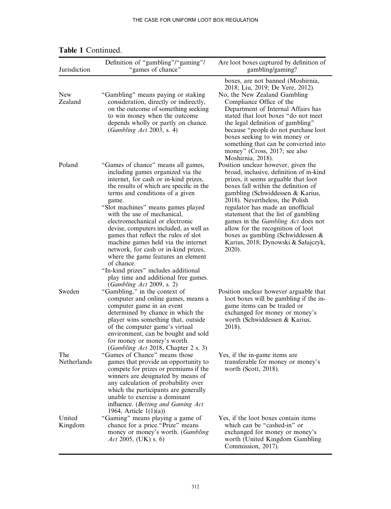| Jurisdiction          | Definition of "gambling"/"gaming"/<br>"games of chance"                                                                                                                                                                                                                                                                                                                                                                                                                                                                                                                                                                                            | Are loot boxes captured by definition of<br>gambling/gaming?                                                                                                                                                                                                                                                                                                                                                                                                                              |
|-----------------------|----------------------------------------------------------------------------------------------------------------------------------------------------------------------------------------------------------------------------------------------------------------------------------------------------------------------------------------------------------------------------------------------------------------------------------------------------------------------------------------------------------------------------------------------------------------------------------------------------------------------------------------------------|-------------------------------------------------------------------------------------------------------------------------------------------------------------------------------------------------------------------------------------------------------------------------------------------------------------------------------------------------------------------------------------------------------------------------------------------------------------------------------------------|
| <b>New</b><br>Zealand | "Gambling" means paying or staking<br>consideration, directly or indirectly,<br>on the outcome of something seeking<br>to win money when the outcome<br>depends wholly or partly on chance.<br>(Gambling Act 2003, s. 4)                                                                                                                                                                                                                                                                                                                                                                                                                           | boxes, are not banned (Moshirnia,<br>2018; Liu, 2019; De Vere, 2012).<br>No, the New Zealand Gambling<br>Compliance Office of the<br>Department of Internal Affairs has<br>stated that loot boxes "do not meet<br>the legal definition of gambling"<br>because "people do not purchase loot<br>boxes seeking to win money or<br>something that can be converted into<br>money" (Cross, 2017; see also<br>Moshirnia, 2018).                                                                |
| Poland                | "Games of chance" means all games,<br>including games organized via the<br>internet, for cash or in-kind prizes,<br>the results of which are specific in the<br>terms and conditions of a given<br>game.<br>"Slot machines" means games played<br>with the use of mechanical,<br>electromechanical or electronic<br>devise, computers included, as well as<br>games that reflect the rules of slot<br>machine games held via the internet<br>network, for cash or in-kind prizes,<br>where the game features an element<br>of chance.<br>"In-kind prizes" includes additional<br>play time and additional free games.<br>(Gambling Act 2009, s. 2) | Position unclear however, given the<br>broad, inclusive, definition of in-kind<br>prizes, it seems arguable that loot<br>boxes fall within the definition of<br>gambling (Schwiddessen & Karius,<br>2018). Nevertheless, the Polish<br>regulator has made an unofficial<br>statement that the list of gambling<br>games in the <i>Gambling Act</i> does not<br>allow for the recognition of loot<br>boxes as gambling (Schwiddessen $\&$<br>Karius, 2018; Dynowski & Sałajczyk,<br>2020). |
| Sweden                | "Gambling," in the context of<br>computer and online games, means a<br>computer game in an event<br>determined by chance in which the<br>player wins something that, outside<br>of the computer game's virtual<br>environment, can be bought and sold<br>for money or money's worth.<br>(Gambling Act 2018, Chapter 2 s. 3)                                                                                                                                                                                                                                                                                                                        | Position unclear however arguable that<br>loot boxes will be gambling if the in-<br>game items can be traded or<br>exchanged for money or money's<br>worth (Schwiddessen & Karius,<br>2018).                                                                                                                                                                                                                                                                                              |
| The<br>Netherlands    | "Games of Chance" means those<br>games that provide an opportunity to<br>compete for prizes or premiums if the<br>winners are designated by means of<br>any calculation of probability over<br>which the participants are generally<br>unable to exercise a dominant<br>influence. (Betting and Gaming Act<br>1964, Article $1(1)(a)$                                                                                                                                                                                                                                                                                                              | Yes, if the in-game items are<br>transferable for money or money's<br>worth (Scott, $2018$ ).                                                                                                                                                                                                                                                                                                                                                                                             |
| United<br>Kingdom     | "Gaming" means playing a game of<br>chance for a price. "Prize" means<br>money or money's worth. (Gambling<br>Act 2005, (UK) s. 6)                                                                                                                                                                                                                                                                                                                                                                                                                                                                                                                 | Yes, if the loot boxes contain items<br>which can be "cashed-in" or<br>exchanged for money or money's<br>worth (United Kingdom Gambling<br>Commission, 2017).                                                                                                                                                                                                                                                                                                                             |

# Table 1 Continued.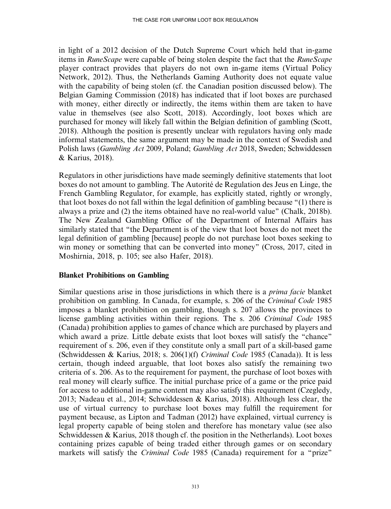in light of a 2012 decision of the Dutch Supreme Court which held that in-game items in *RuneScape* were capable of being stolen despite the fact that the *RuneScape* player contract provides that players do not own in-game items (Virtual Policy Network, 2012). Thus, the Netherlands Gaming Authority does not equate value with the capability of being stolen (cf. the Canadian position discussed below). The Belgian Gaming Commission (2018) has indicated that if loot boxes are purchased with money, either directly or indirectly, the items within them are taken to have value in themselves (see also Scott, 2018). Accordingly, loot boxes which are purchased for money will likely fall within the Belgian definition of gambling (Scott, 2018). Although the position is presently unclear with regulators having only made informal statements, the same argument may be made in the context of Swedish and Polish laws (Gambling Act 2009, Poland; Gambling Act 2018, Sweden; Schwiddessen & Karius, 2018).

Regulators in other jurisdictions have made seemingly definitive statements that loot boxes do not amount to gambling. The Autorité de Regulation des Jeus en Linge, the French Gambling Regulator, for example, has explicitly stated, rightly or wrongly, that loot boxes do not fall within the legal definition of gambling because ''(1) there is always a prize and (2) the items obtained have no real-world value'' (Chalk, 2018b). The New Zealand Gambling Office of the Department of Internal Affairs has similarly stated that ''the Department is of the view that loot boxes do not meet the legal definition of gambling [because] people do not purchase loot boxes seeking to win money or something that can be converted into money" (Cross, 2017, cited in Moshirnia, 2018, p. 105; see also Hafer, 2018).

## Blanket Prohibitions on Gambling

Similar questions arise in those jurisdictions in which there is a *prima facie* blanket prohibition on gambling. In Canada, for example, s. 206 of the Criminal Code 1985 imposes a blanket prohibition on gambling, though s. 207 allows the provinces to license gambling activities within their regions. The s. 206 Criminal Code 1985 (Canada) prohibition applies to games of chance which are purchased by players and which award a prize. Little debate exists that loot boxes will satisfy the "chance" requirement of s. 206, even if they constitute only a small part of a skill-based game (Schwiddessen & Karius, 2018; s. 206(1)(f) Criminal Code 1985 (Canada)). It is less certain, though indeed arguable, that loot boxes also satisfy the remaining two criteria of s. 206. As to the requirement for payment, the purchase of loot boxes with real money will clearly suffice. The initial purchase price of a game or the price paid for access to additional in-game content may also satisfy this requirement (Czegledy, 2013; Nadeau et al., 2014; Schwiddessen & Karius, 2018). Although less clear, the use of virtual currency to purchase loot boxes may fulfill the requirement for payment because, as Lipton and Tadman (2012) have explained, virtual currency is legal property capable of being stolen and therefore has monetary value (see also Schwiddessen & Karius, 2018 though cf. the position in the Netherlands). Loot boxes containing prizes capable of being traded either through games or on secondary markets will satisfy the *Criminal Code* 1985 (Canada) requirement for a "prize"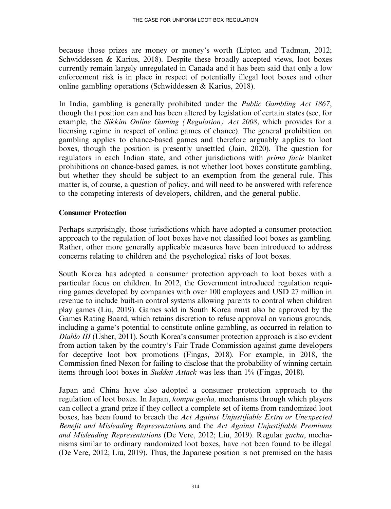because those prizes are money or money's worth (Lipton and Tadman, 2012; Schwiddessen & Karius, 2018). Despite these broadly accepted views, loot boxes currently remain largely unregulated in Canada and it has been said that only a low enforcement risk is in place in respect of potentially illegal loot boxes and other online gambling operations (Schwiddessen & Karius, 2018).

In India, gambling is generally prohibited under the Public Gambling Act 1867, though that position can and has been altered by legislation of certain states (see, for example, the Sikkim Online Gaming (Regulation) Act 2008, which provides for a licensing regime in respect of online games of chance). The general prohibition on gambling applies to chance-based games and therefore arguably applies to loot boxes, though the position is presently unsettled (Jain, 2020). The question for regulators in each Indian state, and other jurisdictions with prima facie blanket prohibitions on chance-based games, is not whether loot boxes constitute gambling, but whether they should be subject to an exemption from the general rule. This matter is, of course, a question of policy, and will need to be answered with reference to the competing interests of developers, children, and the general public.

# Consumer Protection

Perhaps surprisingly, those jurisdictions which have adopted a consumer protection approach to the regulation of loot boxes have not classified loot boxes as gambling. Rather, other more generally applicable measures have been introduced to address concerns relating to children and the psychological risks of loot boxes.

South Korea has adopted a consumer protection approach to loot boxes with a particular focus on children. In 2012, the Government introduced regulation requiring games developed by companies with over 100 employees and USD 27 million in revenue to include built-in control systems allowing parents to control when children play games (Liu, 2019). Games sold in South Korea must also be approved by the Games Rating Board, which retains discretion to refuse approval on various grounds, including a game's potential to constitute online gambling, as occurred in relation to Diablo III (Usher, 2011). South Korea's consumer protection approach is also evident from action taken by the country's Fair Trade Commission against game developers for deceptive loot box promotions (Fingas, 2018). For example, in 2018, the Commission fined Nexon for failing to disclose that the probability of winning certain items through loot boxes in Sudden Attack was less than 1% (Fingas, 2018).

Japan and China have also adopted a consumer protection approach to the regulation of loot boxes. In Japan, *kompu gacha*, mechanisms through which players can collect a grand prize if they collect a complete set of items from randomized loot boxes, has been found to breach the Act Against Unjustifiable Extra or Unexpected Benefit and Misleading Representations and the Act Against Unjustifiable Premiums and Misleading Representations (De Vere, 2012; Liu, 2019). Regular gacha, mechanisms similar to ordinary randomized loot boxes, have not been found to be illegal (De Vere, 2012; Liu, 2019). Thus, the Japanese position is not premised on the basis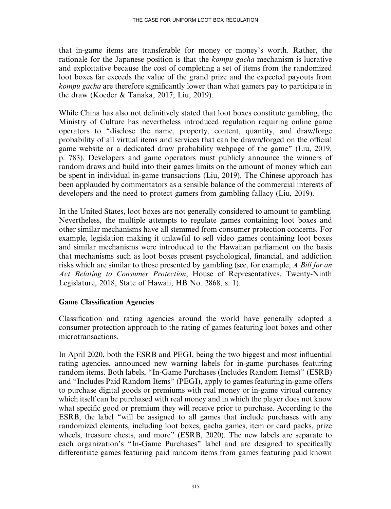that in-game items are transferable for money or money's worth. Rather, the rationale for the Japanese position is that the *kompu gacha* mechanism is lucrative and exploitative because the cost of completing a set of items from the randomized loot boxes far exceeds the value of the grand prize and the expected payouts from kompu gacha are therefore significantly lower than what gamers pay to participate in the draw (Koeder & Tanaka, 2017; Liu, 2019).

While China has also not definitively stated that loot boxes constitute gambling, the Ministry of Culture has nevertheless introduced regulation requiring online game operators to ''disclose the name, property, content, quantity, and draw/forge probability of all virtual items and services that can be drawn/forged on the official game website or a dedicated draw probability webpage of the game'' (Liu, 2019, p. 783). Developers and game operators must publicly announce the winners of random draws and build into their games limits on the amount of money which can be spent in individual in-game transactions (Liu, 2019). The Chinese approach has been applauded by commentators as a sensible balance of the commercial interests of developers and the need to protect gamers from gambling fallacy (Liu, 2019).

In the United States, loot boxes are not generally considered to amount to gambling. Nevertheless, the multiple attempts to regulate games containing loot boxes and other similar mechanisms have all stemmed from consumer protection concerns. For example, legislation making it unlawful to sell video games containing loot boxes and similar mechanisms were introduced to the Hawaiian parliament on the basis that mechanisms such as loot boxes present psychological, financial, and addiction risks which are similar to those presented by gambling (see, for example, A Bill for an Act Relating to Consumer Protection, House of Representatives, Twenty-Ninth Legislature, 2018, State of Hawaii, HB No. 2868, s. 1).

# Game Classification Agencies

Classification and rating agencies around the world have generally adopted a consumer protection approach to the rating of games featuring loot boxes and other microtransactions.

In April 2020, both the ESRB and PEGI, being the two biggest and most influential rating agencies, announced new warning labels for in-game purchases featuring random items. Both labels, ''In-Game Purchases (Includes Random Items)'' (ESRB) and ''Includes Paid Random Items'' (PEGI), apply to games featuring in-game offers to purchase digital goods or premiums with real money or in-game virtual currency which itself can be purchased with real money and in which the player does not know what specific good or premium they will receive prior to purchase. According to the ESRB, the label ''will be assigned to all games that include purchases with any randomized elements, including loot boxes, gacha games, item or card packs, prize wheels, treasure chests, and more" (ESRB, 2020). The new labels are separate to each organization's ''In-Game Purchases'' label and are designed to specifically differentiate games featuring paid random items from games featuring paid known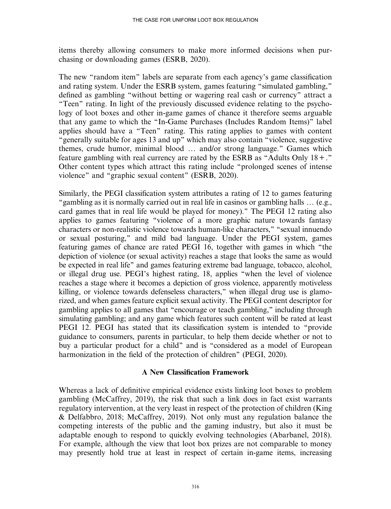items thereby allowing consumers to make more informed decisions when purchasing or downloading games (ESRB, 2020).

The new "random item" labels are separate from each agency's game classification and rating system. Under the ESRB system, games featuring ''simulated gambling,'' defined as gambling ''without betting or wagering real cash or currency'' attract a "Teen" rating. In light of the previously discussed evidence relating to the psychology of loot boxes and other in-game games of chance it therefore seems arguable that any game to which the ''In-Game Purchases (Includes Random Items)'' label applies should have a ''Teen'' rating. This rating applies to games with content "generally suitable for ages 13 and up" which may also contain "violence, suggestive themes, crude humor, minimal blood ... and/or strong language." Games which feature gambling with real currency are rated by the ESRB as "Adults Only  $18 +$ ." Other content types which attract this rating include ''prolonged scenes of intense violence'' and ''graphic sexual content'' (ESRB, 2020).

Similarly, the PEGI classification system attributes a rating of 12 to games featuring "gambling as it is normally carried out in real life in casinos or gambling halls ... (e.g., card games that in real life would be played for money).'' The PEGI 12 rating also applies to games featuring ''violence of a more graphic nature towards fantasy characters or non-realistic violence towards human-like characters,'' ''sexual innuendo or sexual posturing,'' and mild bad language. Under the PEGI system, games featuring games of chance are rated PEGI 16, together with games in which ''the depiction of violence (or sexual activity) reaches a stage that looks the same as would be expected in real life'' and games featuring extreme bad language, tobacco, alcohol, or illegal drug use. PEGI's highest rating, 18, applies ''when the level of violence reaches a stage where it becomes a depiction of gross violence, apparently motiveless killing, or violence towards defenseless characters,'' when illegal drug use is glamorized, and when games feature explicit sexual activity. The PEGI content descriptor for gambling applies to all games that ''encourage or teach gambling,'' including through simulating gambling; and any game which features such content will be rated at least PEGI 12. PEGI has stated that its classification system is intended to ''provide guidance to consumers, parents in particular, to help them decide whether or not to buy a particular product for a child'' and is ''considered as a model of European harmonization in the field of the protection of children'' (PEGI, 2020).

## A New Classification Framework

Whereas a lack of definitive empirical evidence exists linking loot boxes to problem gambling (McCaffrey, 2019), the risk that such a link does in fact exist warrants regulatory intervention, at the very least in respect of the protection of children (King & Delfabbro, 2018; McCaffrey, 2019). Not only must any regulation balance the competing interests of the public and the gaming industry, but also it must be adaptable enough to respond to quickly evolving technologies (Abarbanel, 2018). For example, although the view that loot box prizes are not comparable to money may presently hold true at least in respect of certain in-game items, increasing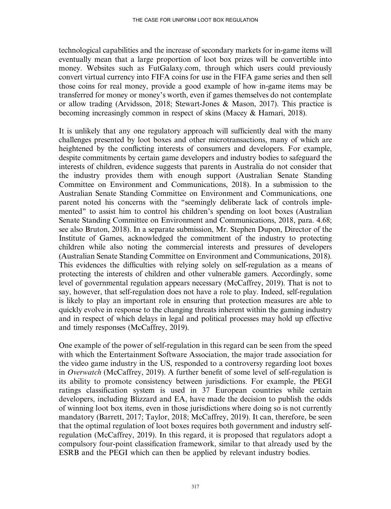technological capabilities and the increase of secondary markets for in-game items will eventually mean that a large proportion of loot box prizes will be convertible into money. Websites such as FutGalaxy.com, through which users could previously convert virtual currency into FIFA coins for use in the FIFA game series and then sell those coins for real money, provide a good example of how in-game items may be transferred for money or money's worth, even if games themselves do not contemplate or allow trading (Arvidsson, 2018; Stewart-Jones & Mason, 2017). This practice is becoming increasingly common in respect of skins (Macey & Hamari, 2018).

It is unlikely that any one regulatory approach will sufficiently deal with the many challenges presented by loot boxes and other microtransactions, many of which are heightened by the conflicting interests of consumers and developers. For example, despite commitments by certain game developers and industry bodies to safeguard the interests of children, evidence suggests that parents in Australia do not consider that the industry provides them with enough support (Australian Senate Standing Committee on Environment and Communications, 2018). In a submission to the Australian Senate Standing Committee on Environment and Communications, one parent noted his concerns with the ''seemingly deliberate lack of controls implemented'' to assist him to control his children's spending on loot boxes (Australian Senate Standing Committee on Environment and Communications, 2018, para. 4.68; see also Bruton, 2018). In a separate submission, Mr. Stephen Dupon, Director of the Institute of Games, acknowledged the commitment of the industry to protecting children while also noting the commercial interests and pressures of developers (Australian Senate Standing Committee on Environment and Communications, 2018). This evidences the difficulties with relying solely on self-regulation as a means of protecting the interests of children and other vulnerable gamers. Accordingly, some level of governmental regulation appears necessary (McCaffrey, 2019). That is not to say, however, that self-regulation does not have a role to play. Indeed, self-regulation is likely to play an important role in ensuring that protection measures are able to quickly evolve in response to the changing threats inherent within the gaming industry and in respect of which delays in legal and political processes may hold up effective and timely responses (McCaffrey, 2019).

One example of the power of self-regulation in this regard can be seen from the speed with which the Entertainment Software Association, the major trade association for the video game industry in the US, responded to a controversy regarding loot boxes in Overwatch (McCaffrey, 2019). A further benefit of some level of self-regulation is its ability to promote consistency between jurisdictions. For example, the PEGI ratings classification system is used in 37 European countries while certain developers, including Blizzard and EA, have made the decision to publish the odds of winning loot box items, even in those jurisdictions where doing so is not currently mandatory (Barrett, 2017; Taylor, 2018; McCaffrey, 2019). It can, therefore, be seen that the optimal regulation of loot boxes requires both government and industry selfregulation (McCaffrey, 2019). In this regard, it is proposed that regulators adopt a compulsory four-point classification framework, similar to that already used by the ESRB and the PEGI which can then be applied by relevant industry bodies.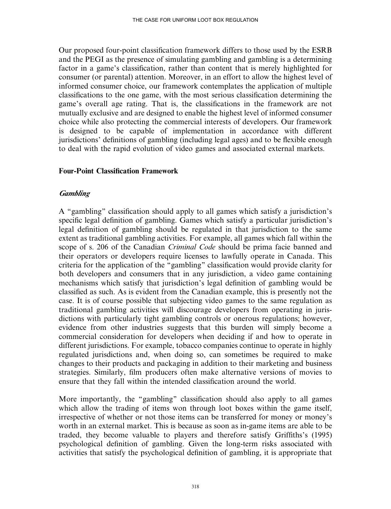Our proposed four-point classification framework differs to those used by the ESRB and the PEGI as the presence of simulating gambling and gambling is a determining factor in a game's classification, rather than content that is merely highlighted for consumer (or parental) attention. Moreover, in an effort to allow the highest level of informed consumer choice, our framework contemplates the application of multiple classifications to the one game, with the most serious classification determining the game's overall age rating. That is, the classifications in the framework are not mutually exclusive and are designed to enable the highest level of informed consumer choice while also protecting the commercial interests of developers. Our framework is designed to be capable of implementation in accordance with different jurisdictions' definitions of gambling (including legal ages) and to be flexible enough to deal with the rapid evolution of video games and associated external markets.

### Four-Point Classification Framework

## **Gambling**

A ''gambling'' classification should apply to all games which satisfy a jurisdiction's specific legal definition of gambling. Games which satisfy a particular jurisdiction's legal definition of gambling should be regulated in that jurisdiction to the same extent as traditional gambling activities. For example, all games which fall within the scope of s. 206 of the Canadian *Criminal Code* should be prima facie banned and their operators or developers require licenses to lawfully operate in Canada. This criteria for the application of the ''gambling'' classification would provide clarity for both developers and consumers that in any jurisdiction, a video game containing mechanisms which satisfy that jurisdiction's legal definition of gambling would be classified as such. As is evident from the Canadian example, this is presently not the case. It is of course possible that subjecting video games to the same regulation as traditional gambling activities will discourage developers from operating in jurisdictions with particularly tight gambling controls or onerous regulations; however, evidence from other industries suggests that this burden will simply become a commercial consideration for developers when deciding if and how to operate in different jurisdictions. For example, tobacco companies continue to operate in highly regulated jurisdictions and, when doing so, can sometimes be required to make changes to their products and packaging in addition to their marketing and business strategies. Similarly, film producers often make alternative versions of movies to ensure that they fall within the intended classification around the world.

More importantly, the ''gambling'' classification should also apply to all games which allow the trading of items won through loot boxes within the game itself, irrespective of whether or not those items can be transferred for money or money's worth in an external market. This is because as soon as in-game items are able to be traded, they become valuable to players and therefore satisfy Griffiths's (1995) psychological definition of gambling. Given the long-term risks associated with activities that satisfy the psychological definition of gambling, it is appropriate that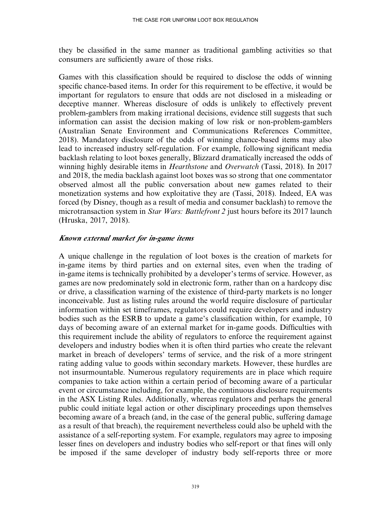they be classified in the same manner as traditional gambling activities so that consumers are sufficiently aware of those risks.

Games with this classification should be required to disclose the odds of winning specific chance-based items. In order for this requirement to be effective, it would be important for regulators to ensure that odds are not disclosed in a misleading or deceptive manner. Whereas disclosure of odds is unlikely to effectively prevent problem-gamblers from making irrational decisions, evidence still suggests that such information can assist the decision making of low risk or non-problem-gamblers (Australian Senate Environment and Communications References Committee, 2018). Mandatory disclosure of the odds of winning chance-based items may also lead to increased industry self-regulation. For example, following significant media backlash relating to loot boxes generally, Blizzard dramatically increased the odds of winning highly desirable items in *Hearthstone* and *Overwatch* (Tassi, 2018). In 2017 and 2018, the media backlash against loot boxes was so strong that one commentator observed almost all the public conversation about new games related to their monetization systems and how exploitative they are (Tassi, 2018). Indeed, EA was forced (by Disney, though as a result of media and consumer backlash) to remove the microtransaction system in Star Wars: Battlefront 2 just hours before its 2017 launch (Hruska, 2017, 2018).

## Known external market for in-game items

A unique challenge in the regulation of loot boxes is the creation of markets for in-game items by third parties and on external sites, even when the trading of in-game items is technically prohibited by a developer's terms of service. However, as games are now predominately sold in electronic form, rather than on a hardcopy disc or drive, a classification warning of the existence of third-party markets is no longer inconceivable. Just as listing rules around the world require disclosure of particular information within set timeframes, regulators could require developers and industry bodies such as the ESRB to update a game's classification within, for example, 10 days of becoming aware of an external market for in-game goods. Difficulties with this requirement include the ability of regulators to enforce the requirement against developers and industry bodies when it is often third parties who create the relevant market in breach of developers' terms of service, and the risk of a more stringent rating adding value to goods within secondary markets. However, these hurdles are not insurmountable. Numerous regulatory requirements are in place which require companies to take action within a certain period of becoming aware of a particular event or circumstance including, for example, the continuous disclosure requirements in the ASX Listing Rules. Additionally, whereas regulators and perhaps the general public could initiate legal action or other disciplinary proceedings upon themselves becoming aware of a breach (and, in the case of the general public, suffering damage as a result of that breach), the requirement nevertheless could also be upheld with the assistance of a self-reporting system. For example, regulators may agree to imposing lesser fines on developers and industry bodies who self-report or that fines will only be imposed if the same developer of industry body self-reports three or more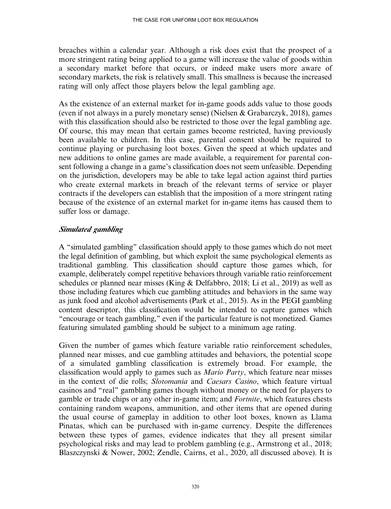breaches within a calendar year. Although a risk does exist that the prospect of a more stringent rating being applied to a game will increase the value of goods within a secondary market before that occurs, or indeed make users more aware of secondary markets, the risk is relatively small. This smallness is because the increased rating will only affect those players below the legal gambling age.

As the existence of an external market for in-game goods adds value to those goods (even if not always in a purely monetary sense) (Nielsen & Grabarczyk, 2018), games with this classification should also be restricted to those over the legal gambling age. Of course, this may mean that certain games become restricted, having previously been available to children. In this case, parental consent should be required to continue playing or purchasing loot boxes. Given the speed at which updates and new additions to online games are made available, a requirement for parental consent following a change in a game's classification does not seem unfeasible. Depending on the jurisdiction, developers may be able to take legal action against third parties who create external markets in breach of the relevant terms of service or player contracts if the developers can establish that the imposition of a more stringent rating because of the existence of an external market for in-game items has caused them to suffer loss or damage.

# Simulated gambling

A ''simulated gambling'' classification should apply to those games which do not meet the legal definition of gambling, but which exploit the same psychological elements as traditional gambling. This classification should capture those games which, for example, deliberately compel repetitive behaviors through variable ratio reinforcement schedules or planned near misses (King & Delfabbro, 2018; Li et al., 2019) as well as those including features which cue gambling attitudes and behaviors in the same way as junk food and alcohol advertisements (Park et al., 2015). As in the PEGI gambling content descriptor, this classification would be intended to capture games which ''encourage or teach gambling,'' even if the particular feature is not monetized. Games featuring simulated gambling should be subject to a minimum age rating.

Given the number of games which feature variable ratio reinforcement schedules, planned near misses, and cue gambling attitudes and behaviors, the potential scope of a simulated gambling classification is extremely broad. For example, the classification would apply to games such as Mario Party, which feature near misses in the context of die rolls; Slotomania and Caesars Casino, which feature virtual casinos and ''real'' gambling games though without money or the need for players to gamble or trade chips or any other in-game item; and Fortnite, which features chests containing random weapons, ammunition, and other items that are opened during the usual course of gameplay in addition to other loot boxes, known as Llama Pinatas, which can be purchased with in-game currency. Despite the differences between these types of games, evidence indicates that they all present similar psychological risks and may lead to problem gambling (e.g., Armstrong et al., 2018; Blaszczynski & Nower, 2002; Zendle, Cairns, et al., 2020, all discussed above). It is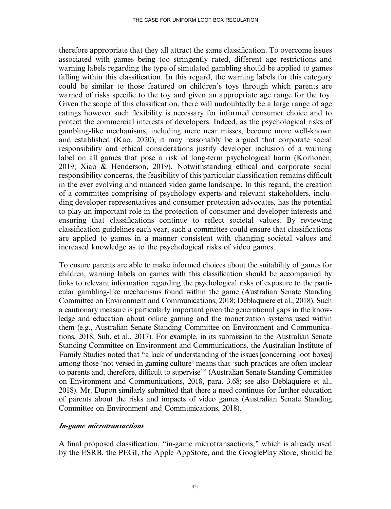therefore appropriate that they all attract the same classification. To overcome issues associated with games being too stringently rated, different age restrictions and warning labels regarding the type of simulated gambling should be applied to games falling within this classification. In this regard, the warning labels for this category could be similar to those featured on children's toys through which parents are warned of risks specific to the toy and given an appropriate age range for the toy. Given the scope of this classification, there will undoubtedly be a large range of age ratings however such flexibility is necessary for informed consumer choice and to protect the commercial interests of developers. Indeed, as the psychological risks of gambling-like mechanisms, including mere near misses, become more well-known and established (Kao, 2020), it may reasonably be argued that corporate social responsibility and ethical considerations justify developer inclusion of a warning label on all games that pose a risk of long-term psychological harm (Korhonen, 2019; Xiao & Henderson, 2019). Notwithstanding ethical and corporate social responsibility concerns, the feasibility of this particular classification remains difficult in the ever evolving and nuanced video game landscape. In this regard, the creation of a committee comprising of psychology experts and relevant stakeholders, including developer representatives and consumer protection advocates, has the potential to play an important role in the protection of consumer and developer interests and ensuring that classifications continue to reflect societal values. By reviewing classification guidelines each year, such a committee could ensure that classifications are applied to games in a manner consistent with changing societal values and increased knowledge as to the psychological risks of video games.

To ensure parents are able to make informed choices about the suitability of games for children, warning labels on games with this classification should be accompanied by links to relevant information regarding the psychological risks of exposure to the particular gambling-like mechanisms found within the game (Australian Senate Standing Committee on Environment and Communications, 2018; Deblaquiere et al., 2018). Such a cautionary measure is particularly important given the generational gaps in the knowledge and education about online gaming and the monetization systems used within them (e.g., Australian Senate Standing Committee on Environment and Communications, 2018; Suh, et al., 2017). For example, in its submission to the Australian Senate Standing Committee on Environment and Communications, the Australian Institute of Family Studies noted that ''a lack of understanding of the issues [concerning loot boxes] among those 'not versed in gaming culture' means that 'such practices are often unclear to parents and, therefore, difficult to supervise''' (Australian Senate Standing Committee on Environment and Communications, 2018, para. 3.68; see also Deblaquiere et al., 2018). Mr. Dupon similarly submitted that there a need continues for further education of parents about the risks and impacts of video games (Australian Senate Standing Committee on Environment and Communications, 2018).

### In-game microtransactions

A final proposed classification, ''in-game microtransactions,'' which is already used by the ESRB, the PEGI, the Apple AppStore, and the GooglePlay Store, should be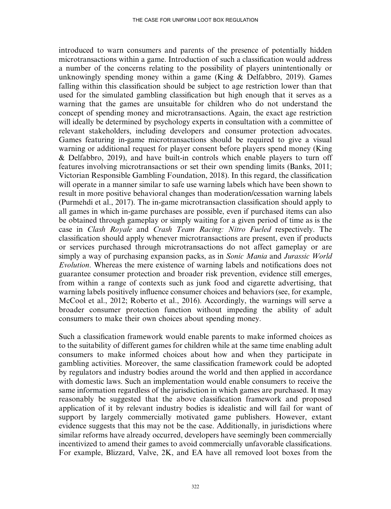introduced to warn consumers and parents of the presence of potentially hidden microtransactions within a game. Introduction of such a classification would address a number of the concerns relating to the possibility of players unintentionally or unknowingly spending money within a game (King & Delfabbro, 2019). Games falling within this classification should be subject to age restriction lower than that used for the simulated gambling classification but high enough that it serves as a warning that the games are unsuitable for children who do not understand the concept of spending money and microtransactions. Again, the exact age restriction will ideally be determined by psychology experts in consultation with a committee of relevant stakeholders, including developers and consumer protection advocates. Games featuring in-game microtransactions should be required to give a visual warning or additional request for player consent before players spend money (King & Delfabbro, 2019), and have built-in controls which enable players to turn off features involving microtransactions or set their own spending limits (Banks, 2011; Victorian Responsible Gambling Foundation, 2018). In this regard, the classification will operate in a manner similar to safe use warning labels which have been shown to result in more positive behavioral changes than moderation/cessation warning labels (Purmehdi et al., 2017). The in-game microtransaction classification should apply to all games in which in-game purchases are possible, even if purchased items can also be obtained through gameplay or simply waiting for a given period of time as is the case in Clash Royale and Crash Team Racing: Nitro Fueled respectively. The classification should apply whenever microtransactions are present, even if products or services purchased through microtransactions do not affect gameplay or are simply a way of purchasing expansion packs, as in Sonic Mania and Jurassic World Evolution. Whereas the mere existence of warning labels and notifications does not guarantee consumer protection and broader risk prevention, evidence still emerges, from within a range of contexts such as junk food and cigarette advertising, that warning labels positively influence consumer choices and behaviors (see, for example, McCool et al., 2012; Roberto et al., 2016). Accordingly, the warnings will serve a broader consumer protection function without impeding the ability of adult consumers to make their own choices about spending money.

Such a classification framework would enable parents to make informed choices as to the suitability of different games for children while at the same time enabling adult consumers to make informed choices about how and when they participate in gambling activities. Moreover, the same classification framework could be adopted by regulators and industry bodies around the world and then applied in accordance with domestic laws. Such an implementation would enable consumers to receive the same information regardless of the jurisdiction in which games are purchased. It may reasonably be suggested that the above classification framework and proposed application of it by relevant industry bodies is idealistic and will fail for want of support by largely commercially motivated game publishers. However, extant evidence suggests that this may not be the case. Additionally, in jurisdictions where similar reforms have already occurred, developers have seemingly been commercially incentivized to amend their games to avoid commercially unfavorable classifications. For example, Blizzard, Valve, 2K, and EA have all removed loot boxes from the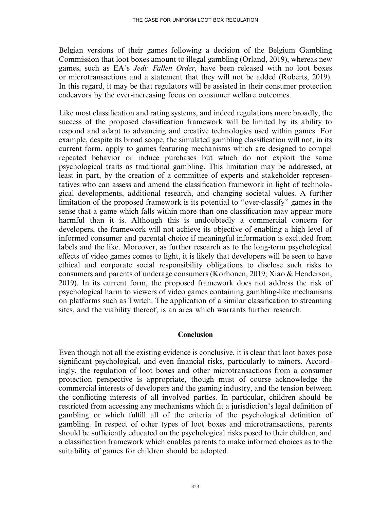Belgian versions of their games following a decision of the Belgium Gambling Commission that loot boxes amount to illegal gambling (Orland, 2019), whereas new games, such as EA's Jedi: Fallen Order, have been released with no loot boxes or microtransactions and a statement that they will not be added (Roberts, 2019). In this regard, it may be that regulators will be assisted in their consumer protection endeavors by the ever-increasing focus on consumer welfare outcomes.

Like most classification and rating systems, and indeed regulations more broadly, the success of the proposed classification framework will be limited by its ability to respond and adapt to advancing and creative technologies used within games. For example, despite its broad scope, the simulated gambling classification will not, in its current form, apply to games featuring mechanisms which are designed to compel repeated behavior or induce purchases but which do not exploit the same psychological traits as traditional gambling. This limitation may be addressed, at least in part, by the creation of a committee of experts and stakeholder representatives who can assess and amend the classification framework in light of technological developments, additional research, and changing societal values. A further limitation of the proposed framework is its potential to ''over-classify'' games in the sense that a game which falls within more than one classification may appear more harmful than it is. Although this is undoubtedly a commercial concern for developers, the framework will not achieve its objective of enabling a high level of informed consumer and parental choice if meaningful information is excluded from labels and the like. Moreover, as further research as to the long-term psychological effects of video games comes to light, it is likely that developers will be seen to have ethical and corporate social responsibility obligations to disclose such risks to consumers and parents of underage consumers (Korhonen, 2019; Xiao & Henderson, 2019). In its current form, the proposed framework does not address the risk of psychological harm to viewers of video games containing gambling-like mechanisms on platforms such as Twitch. The application of a similar classification to streaming sites, and the viability thereof, is an area which warrants further research.

#### **Conclusion**

Even though not all the existing evidence is conclusive, it is clear that loot boxes pose significant psychological, and even financial risks, particularly to minors. Accordingly, the regulation of loot boxes and other microtransactions from a consumer protection perspective is appropriate, though must of course acknowledge the commercial interests of developers and the gaming industry, and the tension between the conflicting interests of all involved parties. In particular, children should be restricted from accessing any mechanisms which fit a jurisdiction's legal definition of gambling or which fulfill all of the criteria of the psychological definition of gambling. In respect of other types of loot boxes and microtransactions, parents should be sufficiently educated on the psychological risks posed to their children, and a classification framework which enables parents to make informed choices as to the suitability of games for children should be adopted.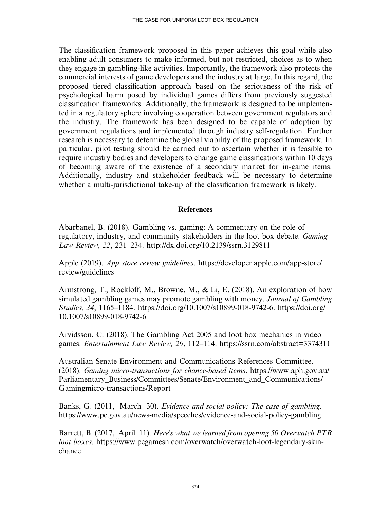The classification framework proposed in this paper achieves this goal while also enabling adult consumers to make informed, but not restricted, choices as to when they engage in gambling-like activities. Importantly, the framework also protects the commercial interests of game developers and the industry at large. In this regard, the proposed tiered classification approach based on the seriousness of the risk of psychological harm posed by individual games differs from previously suggested classification frameworks. Additionally, the framework is designed to be implemented in a regulatory sphere involving cooperation between government regulators and the industry. The framework has been designed to be capable of adoption by government regulations and implemented through industry self-regulation. Further research is necessary to determine the global viability of the proposed framework. In particular, pilot testing should be carried out to ascertain whether it is feasible to require industry bodies and developers to change game classifications within 10 days of becoming aware of the existence of a secondary market for in-game items. Additionally, industry and stakeholder feedback will be necessary to determine whether a multi-jurisdictional take-up of the classification framework is likely.

### References

Abarbanel, B. (2018). Gambling vs. gaming: A commentary on the role of regulatory, industry, and community stakeholders in the loot box debate. Gaming Law Review, 22, 231–234.<http://dx.doi.org/10.2139/ssrn.3129811>

Apple (2019). App store review guidelines. [https://developer.apple.com/app-store/](https://developer.apple.com/app-store/review/guidelines) [review/guidelines](https://developer.apple.com/app-store/review/guidelines)

Armstrong, T., Rockloff, M., Browne, M., & Li, E. (2018). An exploration of how simulated gambling games may promote gambling with money. *Journal of Gambling* Studies, 34, 1165–1184. [https://doi.org/10.1007/s10899-018-9742-6. https://doi.org/](https://doi.org/10.1007/s10899-018-9742-6) [10.1007/s10899-018-9742-6](https://doi.org/10.1007/s10899-018-9742-6)

Arvidsson, C. (2018). The Gambling Act 2005 and loot box mechanics in video games. Entertainment Law Review, 29, 112–114.<https://ssrn.com/abstract=3374311>

Australian Senate Environment and Communications References Committee. (2018). Gaming micro-transactions for chance-based items. [https://www.aph.gov.au/](https://www.aph.gov.au/Parliamentary_Business/Committees/Senate/Environment_and_Communications/Gamingmicro-transactions/Report) [Parliamentary\\_Business/Committees/Senate/Environment\\_and\\_Communications/](https://www.aph.gov.au/Parliamentary_Business/Committees/Senate/Environment_and_Communications/Gamingmicro-transactions/Report) [Gamingmicro-transactions/Report](https://www.aph.gov.au/Parliamentary_Business/Committees/Senate/Environment_and_Communications/Gamingmicro-transactions/Report)

Banks, G. (2011, March 30). Evidence and social policy: The case of gambling. [https://www.pc.gov.au/news-media/speeches/evidence-and-social-policy-gambling.](https://www.pc.gov.au/news-media/speeches/evidence-and-social-policy-gambling)

Barrett, B. (2017, April 11). Here's what we learned from opening 50 Overwatch PTR loot boxes. [https://www.pcgamesn.com/overwatch/overwatch-loot-legendary-skin](https://www.pcgamesn.com/overwatch/overwatch-loot-legendary-skin-chance)[chance](https://www.pcgamesn.com/overwatch/overwatch-loot-legendary-skin-chance)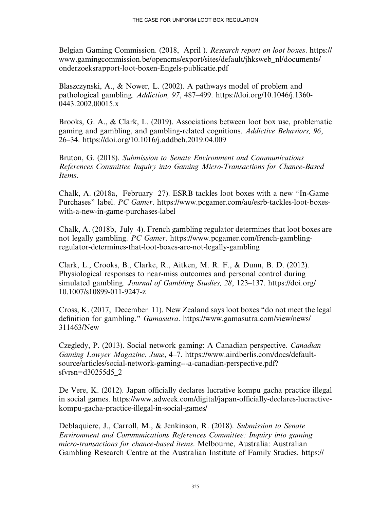Belgian Gaming Commission. (2018, April ). Research report on loot boxes. [https://](https://www.gamingcommission.be/opencms/export/sites/default/jhksweb_nl/documents/onderzoeksrapport-loot-boxen-Engels-publicatie.pdf) [www.gamingcommission.be/opencms/export/sites/default/jhksweb\\_nl/documents/](https://www.gamingcommission.be/opencms/export/sites/default/jhksweb_nl/documents/onderzoeksrapport-loot-boxen-Engels-publicatie.pdf) [onderzoeksrapport-loot-boxen-Engels-publicatie.pdf](https://www.gamingcommission.be/opencms/export/sites/default/jhksweb_nl/documents/onderzoeksrapport-loot-boxen-Engels-publicatie.pdf)

Blaszczynski, A., & Nower, L. (2002). A pathways model of problem and pathological gambling. Addiction, 97, 487–499. [https://doi.org/10.1046/j.1360-](https://doi.org/10.1046/j.1360-0443.2002.00015.x) [0443.2002.00015.x](https://doi.org/10.1046/j.1360-0443.2002.00015.x)

Brooks, G. A., & Clark, L. (2019). Associations between loot box use, problematic gaming and gambling, and gambling-related cognitions. Addictive Behaviors, 96, 26–34.<https://doi.org/10.1016/j.addbeh.2019.04.009>

Bruton, G. (2018). Submission to Senate Environment and Communications References Committee Inquiry into Gaming Micro-Transactions for Chance-Based Items.

Chalk, A. (2018a, February 27). ESRB tackles loot boxes with a new ''In-Game Purchases'' label. PC Gamer. [https://www.pcgamer.com/au/esrb-tackles-loot-boxes](https://www.pcgamer.com/au/esrb-tackles-loot-boxes-with-a-new-in-game-purchases-label)[with-a-new-in-game-purchases-label](https://www.pcgamer.com/au/esrb-tackles-loot-boxes-with-a-new-in-game-purchases-label)

Chalk, A. (2018b, July 4). French gambling regulator determines that loot boxes are not legally gambling. PC Gamer. [https://www.pcgamer.com/french-gambling](https://www.pcgamer.com/french-gambling-regulator-determines-that-loot-boxes-are-not-legally-gambling)[regulator-determines-that-loot-boxes-are-not-legally-gambling](https://www.pcgamer.com/french-gambling-regulator-determines-that-loot-boxes-are-not-legally-gambling)

Clark, L., Crooks, B., Clarke, R., Aitken, M. R. F., & Dunn, B. D. (2012). Physiological responses to near-miss outcomes and personal control during simulated gambling. Journal of Gambling Studies, 28, 123–137. [https://doi.org/](https://doi.org/10.1007/s10899-011-9247-z) [10.1007/s10899-011-9247-z](https://doi.org/10.1007/s10899-011-9247-z)

Cross, K. (2017, December 11). New Zealand says loot boxes ''do not meet the legal definition for gambling." *Gamasutra*. [https://www.gamasutra.com/view/news/](https://www.gamasutra.com/view/news/311463/New) [311463/New](https://www.gamasutra.com/view/news/311463/New)

Czegledy, P. (2013). Social network gaming: A Canadian perspective. Canadian Gaming Lawyer Magazine, June, 4–7. [https://www.airdberlis.com/docs/default](https://www.airdberlis.com/docs/default-source/articles/social-network-gaming---a-canadian-perspective.pdf?sfvrsn=d30255d5_2)[source/articles/social-network-gaming---a-canadian-perspective.pdf?](https://www.airdberlis.com/docs/default-source/articles/social-network-gaming---a-canadian-perspective.pdf?sfvrsn=d30255d5_2) [sfvrsn=d30255d5\\_2](https://www.airdberlis.com/docs/default-source/articles/social-network-gaming---a-canadian-perspective.pdf?sfvrsn=d30255d5_2)

De Vere, K. (2012). Japan officially declares lucrative kompu gacha practice illegal in social games. [https://www.adweek.com/digital/japan-of](https://www.adweek.com/digital/japan-officially-declares-lucractive-kompu-gacha-practice-illegal-in-social-games/)ficially-declares-lucractive[kompu-gacha-practice-illegal-in-social-games/](https://www.adweek.com/digital/japan-officially-declares-lucractive-kompu-gacha-practice-illegal-in-social-games/)

Deblaquiere, J., Carroll, M., & Jenkinson, R. (2018). Submission to Senate Environment and Communications References Committee: Inquiry into gaming micro-transactions for chance-based items. Melbourne, Australia: Australian Gambling Research Centre at the Australian Institute of Family Studies. [https://](https://aifs.gov.au/agrc/sites/default/files/201807_aifs_sumission_micro-transactions_27072018.pdf)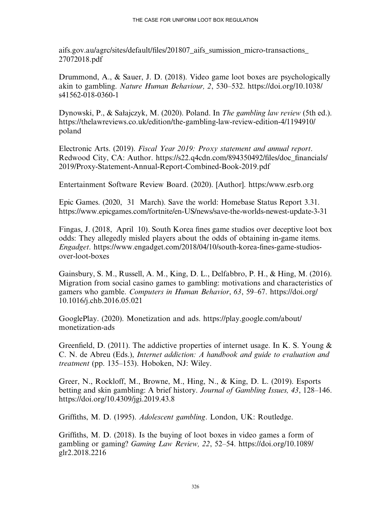aifs.gov.au/agrc/sites/default/fi[les/201807\\_aifs\\_sumission\\_micro-transactions\\_](https://aifs.gov.au/agrc/sites/default/files/201807_aifs_sumission_micro-transactions_27072018.pdf) [27072018.pdf](https://aifs.gov.au/agrc/sites/default/files/201807_aifs_sumission_micro-transactions_27072018.pdf)

Drummond, A., & Sauer, J. D. (2018). Video game loot boxes are psychologically akin to gambling. Nature Human Behaviour, 2, 530–532. [https://doi.org/10.1038/](https://doi.org/10.1038/s41562-018-0360-1) [s41562-018-0360-1](https://doi.org/10.1038/s41562-018-0360-1)

Dynowski, P., & Sałajczyk, M. (2020). Poland. In The gambling law review (5th ed.). [https://thelawreviews.co.uk/edition/the-gambling-law-review-edition-4/1194910/](https://thelawreviews.co.uk/edition/the-gambling-law-review-edition-4/1194910/poland) [poland](https://thelawreviews.co.uk/edition/the-gambling-law-review-edition-4/1194910/poland)

Electronic Arts. (2019). Fiscal Year 2019: Proxy statement and annual report. Redwood City, CA: Author. [https://s22.q4cdn.com/894350492/](https://s22.q4cdn.com/894350492/files/doc_financials/2019/Proxy-Statement-Annual-Report-Combined-Book-2019.pdf)files/doc\_financials/ [2019/Proxy-Statement-Annual-Report-Combined-Book-2019.pdf](https://s22.q4cdn.com/894350492/files/doc_financials/2019/Proxy-Statement-Annual-Report-Combined-Book-2019.pdf)

Entertainment Software Review Board. (2020). [Author]. https:/<www.esrb.org>

Epic Games. (2020, 31 March). Save the world: Homebase Status Report 3.31. <https://www.epicgames.com/fortnite/en-US/news/save-the-worlds-newest-update-3-31>

Fingas, J. (2018, April 10). South Korea fines game studios over deceptive loot box odds: They allegedly misled players about the odds of obtaining in-game items. Engadget. [https://www.engadget.com/2018/04/10/south-korea-](https://www.engadget.com/2018/04/10/south-korea-fines-game-studios-over-loot-boxes)fines-game-studios[over-loot-boxes](https://www.engadget.com/2018/04/10/south-korea-fines-game-studios-over-loot-boxes)

Gainsbury, S. M., Russell, A. M., King, D. L., Delfabbro, P. H., & Hing, M. (2016). Migration from social casino games to gambling: motivations and characteristics of gamers who gamble. Computers in Human Behavior, 63, 59–67. [https://doi.org/](https://doi.org/10.1016/j.chb.2016.05.021) [10.1016/j.chb.2016.05.021](https://doi.org/10.1016/j.chb.2016.05.021)

GooglePlay. (2020). Monetization and ads. [https://play.google.com/about/](https://play.google.com/about/monetization-ads) [monetization-ads](https://play.google.com/about/monetization-ads)

Greenfield, D. (2011). The addictive properties of internet usage. In K. S. Young & C. N. de Abreu (Eds.), Internet addiction: A handbook and guide to evaluation and treatment (pp. 135–153). Hoboken, NJ: Wiley.

Greer, N., Rockloff, M., Browne, M., Hing, N., & King, D. L. (2019). Esports betting and skin gambling: A brief history. Journal of Gambling Issues, 43, 128–146. <https://doi.org/10.4309/jgi.2019.43.8>

Griffiths, M. D. (1995). Adolescent gambling. London, UK: Routledge.

Griffiths, M. D. (2018). Is the buying of loot boxes in video games a form of gambling or gaming? Gaming Law Review, 22, 52–54. [https://doi.org/10.1089/](https://doi.org/10.1089/glr2.2018.2216) [glr2.2018.2216](https://doi.org/10.1089/glr2.2018.2216)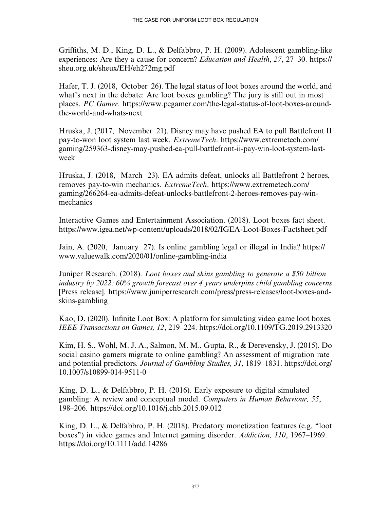Griffiths, M. D., King, D. L., & Delfabbro, P. H. (2009). Adolescent gambling-like experiences: Are they a cause for concern? *Education and Health, 27, 27–30*, [https://](https://sheu.org.uk/sheux/EH/eh272mg.pdf) [sheu.org.uk/sheux/EH/eh272mg.pdf](https://sheu.org.uk/sheux/EH/eh272mg.pdf)

Hafer, T. J. (2018, October 26). The legal status of loot boxes around the world, and what's next in the debate: Are loot boxes gambling? The jury is still out in most places. PC Gamer. [https://www.pcgamer.com/the-legal-status-of-loot-boxes-around](https://www.pcgamer.com/the-legal-status-of-loot-boxes-around-the-world-and-whats-next)[the-world-and-whats-next](https://www.pcgamer.com/the-legal-status-of-loot-boxes-around-the-world-and-whats-next)

Hruska, J. (2017, November 21). Disney may have pushed EA to pull Battlefront II pay-to-won loot system last week. ExtremeTech. [https://www.extremetech.com/](https://www.extremetech.com/gaming/259363-disney-may-pushed-ea-pull-battlefront-ii-pay-win-loot-system-last-week) [gaming/259363-disney-may-pushed-ea-pull-battlefront-ii-pay-win-loot-system-last](https://www.extremetech.com/gaming/259363-disney-may-pushed-ea-pull-battlefront-ii-pay-win-loot-system-last-week)[week](https://www.extremetech.com/gaming/259363-disney-may-pushed-ea-pull-battlefront-ii-pay-win-loot-system-last-week)

Hruska, J. (2018, March 23). EA admits defeat, unlocks all Battlefront 2 heroes, removes pay-to-win mechanics. ExtremeTech. [https://www.extremetech.com/](https://www.extremetech.com/gaming/266264-ea-admits-defeat-unlocks-battlefront-2-heroes-removes-pay-win-mechanics) [gaming/266264-ea-admits-defeat-unlocks-battlefront-2-heroes-removes-pay-win](https://www.extremetech.com/gaming/266264-ea-admits-defeat-unlocks-battlefront-2-heroes-removes-pay-win-mechanics)[mechanics](https://www.extremetech.com/gaming/266264-ea-admits-defeat-unlocks-battlefront-2-heroes-removes-pay-win-mechanics)

Interactive Games and Entertainment Association. (2018). Loot boxes fact sheet. <https://www.igea.net/wp-content/uploads/2018/02/IGEA-Loot-Boxes-Factsheet.pdf>

Jain, A. (2020, January 27). Is online gambling legal or illegal in India? [https://](https://www.valuewalk.com/2020/01/online-gambling-india) [www.valuewalk.com/2020/01/online-gambling-india](https://www.valuewalk.com/2020/01/online-gambling-india)

Juniper Research. (2018). Loot boxes and skins gambling to generate a \$50 billion industry by 2022: 60% growth forecast over 4 years underpins child gambling concerns [Press release]. [https://www.juniperresearch.com/press/press-releases/loot-boxes-and](https://www.juniperresearch.com/press/press-releases/loot-boxes-and-skins-gambling)[skins-gambling](https://www.juniperresearch.com/press/press-releases/loot-boxes-and-skins-gambling)

Kao, D. (2020). Infinite Loot Box: A platform for simulating video game loot boxes. IEEE Transactions on Games, 12, 219–224.<https://doi.org/10.1109/TG.2019.2913320>

Kim, H. S., Wohl, M. J. A., Salmon, M. M., Gupta, R., & Derevensky, J. (2015). Do social casino gamers migrate to online gambling? An assessment of migration rate and potential predictors. Journal of Gambling Studies, 31, 1819–1831. [https://doi.org/](https://doi.org/10.1007/s10899-014-9511-0) [10.1007/s10899-014-9511-0](https://doi.org/10.1007/s10899-014-9511-0)

King, D. L., & Delfabbro, P. H. (2016). Early exposure to digital simulated gambling: A review and conceptual model. Computers in Human Behaviour, 55, 198–206.<https://doi.org/10.1016/j.chb.2015.09.012>

King, D. L., & Delfabbro, P. H. (2018). Predatory monetization features (e.g. ''loot boxes'') in video games and Internet gaming disorder. Addiction, 110, 1967–1969. <https://doi.org/10.1111/add.14286>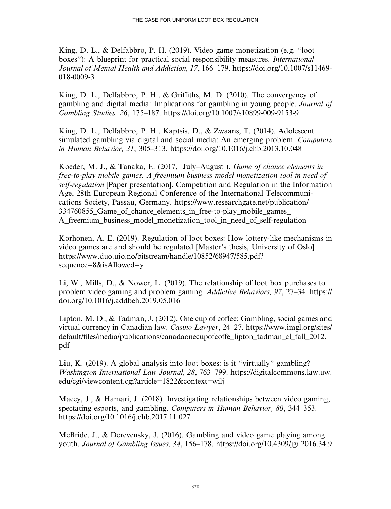King, D. L., & Delfabbro, P. H. (2019). Video game monetization (e.g. ''loot boxes"): A blueprint for practical social responsibility measures. *International* Journal of Mental Health and Addiction, 17, 166–179. [https://doi.org/10.1007/s11469-](https://doi.org/10.1007/s11469-018-0009-3) [018-0009-3](https://doi.org/10.1007/s11469-018-0009-3)

King, D. L., Delfabbro, P. H., & Griffiths, M. D. (2010). The convergency of gambling and digital media: Implications for gambling in young people. Journal of Gambling Studies, 26, 175–187.<https://doi.org/10.1007/s10899-009-9153-9>

King, D. L., Delfabbro, P. H., Kaptsis, D., & Zwaans, T. (2014). Adolescent simulated gambling via digital and social media: An emerging problem. Computers in Human Behavior, 31, 305–313.<https://doi.org/10.1016/j.chb.2013.10.048>

Koeder, M. J., & Tanaka, E. (2017, July–August ). Game of chance elements in free-to-play mobile games. A freemium business model monetization tool in need of self-regulation [Paper presentation]. Competition and Regulation in the Information Age, 28th European Regional Conference of the International Telecommunications Society, Passau, Germany. [https://www.researchgate.net/publication/](https://www.researchgate.net/publication/334760855_Game_of_chance_elements_in_free-to-play_mobile_games_A_freemium_business_model_monetization_tool_in_need_of_self-regulation) 334760855 Game of chance elements in free-to-play mobile games A freemium business model monetization tool in need of self-regulation

Korhonen, A. E. (2019). Regulation of loot boxes: How lottery-like mechanisms in video games are and should be regulated [Master's thesis, University of Oslo]. [https://www.duo.uio.no/bitstream/handle/10852/68947/585.pdf?](https://www.duo.uio.no/bitstream/handle/10852/68947/585.pdf?sequence=8&isAllowed=y) [sequence=8](https://www.duo.uio.no/bitstream/handle/10852/68947/585.pdf?sequence=8&isAllowed=y)&[isAllowed=y](https://www.duo.uio.no/bitstream/handle/10852/68947/585.pdf?sequence=8&isAllowed=y)

Li, W., Mills, D., & Nower, L. (2019). The relationship of loot box purchases to problem video gaming and problem gaming. Addictive Behaviors, 97, 27–34. [https://](https://doi.org/10.1016/j.addbeh.2019.05.016) [doi.org/10.1016/j.addbeh.2019.05.016](https://doi.org/10.1016/j.addbeh.2019.05.016)

Lipton, M. D., & Tadman, J. (2012). One cup of coffee: Gambling, social games and virtual currency in Canadian law. Casino Lawyer, 24–27. [https://www.imgl.org/sites/](https://www.imgl.org/sites/default/files/media/publications/canadaonecupofcoffe_lipton_tadman_cl_fall_2012.pdf) default/fi[les/media/publications/canadaonecupofcoffe\\_lipton\\_tadman\\_cl\\_fall\\_2012.](https://www.imgl.org/sites/default/files/media/publications/canadaonecupofcoffe_lipton_tadman_cl_fall_2012.pdf) [pdf](https://www.imgl.org/sites/default/files/media/publications/canadaonecupofcoffe_lipton_tadman_cl_fall_2012.pdf)

Liu, K. (2019). A global analysis into loot boxes: is it ''virtually'' gambling? Washington International Law Journal, 28, 763–799. [https://digitalcommons.law.uw.](https://digitalcommons.law.uw.edu/cgi/viewcontent.cgi?article=1822&context=wilj) [edu/cgi/viewcontent.cgi?article=1822&context=wilj](https://digitalcommons.law.uw.edu/cgi/viewcontent.cgi?article=1822&context=wilj)

Macey, J., & Hamari, J. (2018). Investigating relationships between video gaming, spectating esports, and gambling. Computers in Human Behavior, 80, 344–353. <https://doi.org/10.1016/j.chb.2017.11.027>

McBride, J., & Derevensky, J. (2016). Gambling and video game playing among youth. Journal of Gambling Issues, 34, 156–178.<https://doi.org/10.4309/jgi.2016.34.9>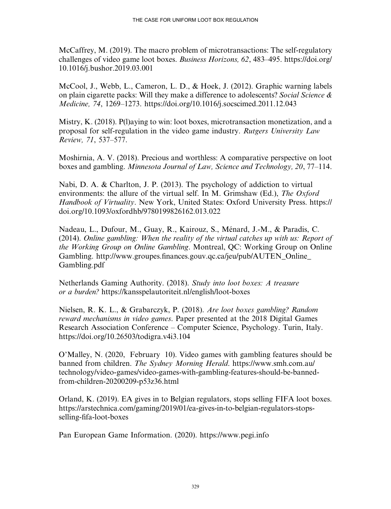McCaffrey, M. (2019). The macro problem of microtransactions: The self-regulatory challenges of video game loot boxes. Business Horizons, 62, 483–495. [https://doi.org/](https://doi.org/10.1016/j.bushor.2019.03.001) [10.1016/j.bushor.2019.03.001](https://doi.org/10.1016/j.bushor.2019.03.001)

McCool, J., Webb, L., Cameron, L. D., & Hoek, J. (2012). Graphic warning labels on plain cigarette packs: Will they make a difference to adolescents? Social Science & Medicine, 74, 1269–1273.<https://doi.org/10.1016/j.socscimed.2011.12.043>

Mistry, K. (2018). P(l)aying to win: loot boxes, microtransaction monetization, and a proposal for self-regulation in the video game industry. Rutgers University Law Review, 71, 537–577.

Moshirnia, A. V. (2018). Precious and worthless: A comparative perspective on loot boxes and gambling. Minnesota Journal of Law, Science and Technology, 20, 77–114.

Nabi, D. A. & Charlton, J. P. (2013). The psychology of addiction to virtual environments: the allure of the virtual self. In M. Grimshaw (Ed.), The Oxford Handbook of Virtuality. New York, United States: Oxford University Press. [https://](https://doi.org/10.1093/oxfordhb/9780199826162.013.022) [doi.org/10.1093/oxfordhb/9780199826162.013.022](https://doi.org/10.1093/oxfordhb/9780199826162.013.022)

Nadeau, L., Dufour, M., Guay, R., Kairouz, S., Ménard, J.-M., & Paradis, C. (2014). Online gambling: When the reality of the virtual catches up with us: Report of the Working Group on Online Gambling. Montreal, QC: Working Group on Online Gambling. http://www.groupes.fi[nances.gouv.qc.ca/jeu/pub/AUTEN\\_Online\\_](http://www.groupes.finances.gouv.qc.ca/jeu/pub/AUTEN_Online_Gambling.pdf) [Gambling.pdf](http://www.groupes.finances.gouv.qc.ca/jeu/pub/AUTEN_Online_Gambling.pdf)

Netherlands Gaming Authority. (2018). Study into loot boxes: A treasure or a burden? <https://kansspelautoriteit.nl/english/loot-boxes>

Nielsen, R. K. L., & Grabarczyk, P. (2018). Are loot boxes gambling? Random reward mechanisms in video games. Paper presented at the 2018 Digital Games Research Association Conference – Computer Science, Psychology. Turin, Italy. <https://doi.org/10.26503/todigra.v4i3.104>

O'Malley, N. (2020, February 10). Video games with gambling features should be banned from children. The Sydney Morning Herald. [https://www.smh.com.au/](https://www.smh.com.au/technology/video-games/video-games-with-gambling-features-should-be-banned-from-children-20200209-p53z36.html) [technology/video-games/video-games-with-gambling-features-should-be-banned](https://www.smh.com.au/technology/video-games/video-games-with-gambling-features-should-be-banned-from-children-20200209-p53z36.html)[from-children-20200209-p53z36.html](https://www.smh.com.au/technology/video-games/video-games-with-gambling-features-should-be-banned-from-children-20200209-p53z36.html)

Orland, K. (2019). EA gives in to Belgian regulators, stops selling FIFA loot boxes. [https://arstechnica.com/gaming/2019/01/ea-gives-in-to-belgian-regulators-stops](https://arstechnica.com/gaming/2019/01/ea-gives-in-to-belgian-regulators-stops-selling-fifa-loot-boxes)selling-fi[fa-loot-boxes](https://arstechnica.com/gaming/2019/01/ea-gives-in-to-belgian-regulators-stops-selling-fifa-loot-boxes)

Pan European Game Information. (2020).<https://www.pegi.info>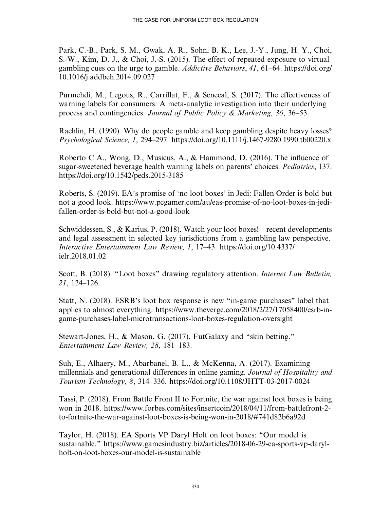Park, C.-B., Park, S. M., Gwak, A. R., Sohn, B. K., Lee, J.-Y., Jung, H. Y., Choi, S.-W., Kim, D. J., & Choi, J.-S. (2015). The effect of repeated exposure to virtual gambling cues on the urge to gamble. Addictive Behaviors, 41, 61–64. [https://doi.org/](https://doi.org/10.1016/j.addbeh.2014.09.027) [10.1016/j.addbeh.2014.09.027](https://doi.org/10.1016/j.addbeh.2014.09.027)

Purmehdi, M., Legous, R., Carrillat, F., & Senecal, S. (2017). The effectiveness of warning labels for consumers: A meta-analytic investigation into their underlying process and contingencies. Journal of Public Policy & Marketing, 36, 36–53.

Rachlin, H. (1990). Why do people gamble and keep gambling despite heavy losses? Psychological Science, 1, 294–297.<https://doi.org/10.1111/j.1467-9280.1990.tb00220.x>

Roberto C A., Wong, D., Musicus, A., & Hammond, D. (2016). The influence of sugar-sweetened beverage health warning labels on parents' choices. Pediatrics, 137. <https://doi.org/10.1542/peds.2015-3185>

Roberts, S. (2019). EA's promise of 'no loot boxes' in Jedi: Fallen Order is bold but not a good look. [https://www.pcgamer.com/au/eas-promise-of-no-loot-boxes-in-jedi](https://www.pcgamer.com/au/eas-promise-of-no-loot-boxes-in-jedi-fallen-order-is-bold-but-not-a-good-look)[fallen-order-is-bold-but-not-a-good-look](https://www.pcgamer.com/au/eas-promise-of-no-loot-boxes-in-jedi-fallen-order-is-bold-but-not-a-good-look)

Schwiddessen, S., & Karius, P. (2018). Watch your loot boxes! – recent developments and legal assessment in selected key jurisdictions from a gambling law perspective. Interactive Entertainment Law Review, 1, 17–43. [https://doi.org/10.4337/](https://doi.org/10.4337/ielr.2018.01.02) [ielr.2018.01.02](https://doi.org/10.4337/ielr.2018.01.02)

Scott, B. (2018). "Loot boxes" drawing regulatory attention. *Internet Law Bulletin*, 21, 124–126.

Statt, N. (2018). ESRB's loot box response is new ''in-game purchases'' label that applies to almost everything. [https://www.theverge.com/2018/2/27/17058400/esrb-in](https://www.theverge.com/2018/2/27/17058400/esrb-in-game-purchases-label-microtransactions-loot-boxes-regulation-oversight)[game-purchases-label-microtransactions-loot-boxes-regulation-oversight](https://www.theverge.com/2018/2/27/17058400/esrb-in-game-purchases-label-microtransactions-loot-boxes-regulation-oversight)

Stewart-Jones, H., & Mason, G. (2017). FutGalaxy and ''skin betting.'' Entertainment Law Review, 28, 181–183.

Suh, E., Alhaery, M., Abarbanel, B. L., & McKenna, A. (2017). Examining millennials and generational differences in online gaming. Journal of Hospitality and Tourism Technology, 8, 314–336.<https://doi.org/10.1108/JHTT-03-2017-0024>

Tassi, P. (2018). From Battle Front II to Fortnite, the war against loot boxes is being won in 2018. [https://www.forbes.com/sites/insertcoin/2018/04/11/from-battlefront-2](https://www.forbes.com/sites/insertcoin/2018/04/11/from-battlefront-2-to-fortnite-the-war-against-loot-boxes-is-being-won-in-2018/#741d82b6a92d) [to-fortnite-the-war-against-loot-boxes-is-being-won-in-2018/#741d82b6a92d](https://www.forbes.com/sites/insertcoin/2018/04/11/from-battlefront-2-to-fortnite-the-war-against-loot-boxes-is-being-won-in-2018/#741d82b6a92d)

Taylor, H. (2018). EA Sports VP Daryl Holt on loot boxes: ''Our model is sustainable.'' [https://www.gamesindustry.biz/articles/2018-06-29-ea-sports-vp-daryl](https://www.gamesindustry.biz/articles/2018-06-29-ea-sports-vp-daryl-holt-on-loot-boxes-our-model-is-sustainable)[holt-on-loot-boxes-our-model-is-sustainable](https://www.gamesindustry.biz/articles/2018-06-29-ea-sports-vp-daryl-holt-on-loot-boxes-our-model-is-sustainable)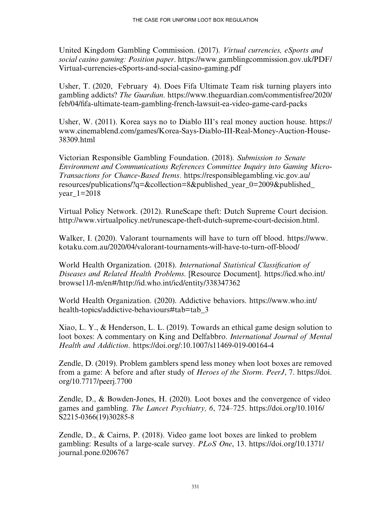United Kingdom Gambling Commission. (2017). Virtual currencies, eSports and social casino gaming: Position paper. [https://www.gamblingcommission.gov.uk/PDF/](https://www.gamblingcommission.gov.uk/PDF/Virtual-currencies-eSports-and-social-casino-gaming.pdf) [Virtual-currencies-eSports-and-social-casino-gaming.pdf](https://www.gamblingcommission.gov.uk/PDF/Virtual-currencies-eSports-and-social-casino-gaming.pdf)

Usher, T. (2020, February 4). Does Fifa Ultimate Team risk turning players into gambling addicts? The Guardian. [https://www.theguardian.com/commentisfree/2020/](https://www.theguardian.com/commentisfree/2020/feb/04/fifa-ultimate-team-gambling-french-lawsuit-ea-video-game-card-packs) feb/04/fi[fa-ultimate-team-gambling-french-lawsuit-ea-video-game-card-packs](https://www.theguardian.com/commentisfree/2020/feb/04/fifa-ultimate-team-gambling-french-lawsuit-ea-video-game-card-packs)

Usher, W. (2011). Korea says no to Diablo III's real money auction house. [https://](https://www.cinemablend.com/games/Korea-Says-Diablo-III-Real-Money-Auction-House-38309.html) [www.cinemablend.com/games/Korea-Says-Diablo-III-Real-Money-Auction-House-](https://www.cinemablend.com/games/Korea-Says-Diablo-III-Real-Money-Auction-House-38309.html)[38309.html](https://www.cinemablend.com/games/Korea-Says-Diablo-III-Real-Money-Auction-House-38309.html)

Victorian Responsible Gambling Foundation. (2018). Submission to Senate Environment and Communications References Committee Inquiry into Gaming Micro-Transactions for Chance-Based Items. [https://responsiblegambling.vic.gov.au/](https://responsiblegambling.vic.gov.au/resources/publications/?q=&collection=8&published_year_0=2009&published_year_1=2018) [resources/publications/?q=](https://responsiblegambling.vic.gov.au/resources/publications/?q=&collection=8&published_year_0=2009&published_year_1=2018)&[collection=8&published\\_year\\_0=2009&published\\_](https://responsiblegambling.vic.gov.au/resources/publications/?q=&collection=8&published_year_0=2009&published_year_1=2018) year  $1=2018$ 

Virtual Policy Network. (2012). RuneScape theft: Dutch Supreme Court decision. [http://www.virtualpolicy.net/runescape-theft-dutch-supreme-court-decision.html.](http://www.virtualpolicy.net/runescape-theft-dutch-supreme-court-decision.html)

Walker, I. (2020). Valorant tournaments will have to turn off blood. [https://www.](https://www.kotaku.com.au/2020/04/valorant-tournaments-will-have-to-turn-off-blood/) [kotaku.com.au/2020/04/valorant-tournaments-will-have-to-turn-off-blood/](https://www.kotaku.com.au/2020/04/valorant-tournaments-will-have-to-turn-off-blood/)

World Health Organization. (2018). International Statistical Classification of Diseases and Related Health Problems. [Resource Document]. [https://icd.who.int/](https://icd.who.int/browse11/l-m/en#/http://id.who.int/icd/entity/338347362) [browse11/l-m/en#/http://id.who.int/icd/entity/338347362](https://icd.who.int/browse11/l-m/en#/http://id.who.int/icd/entity/338347362)

World Health Organization. (2020). Addictive behaviors. [https://www.who.int/](https://www.who.int/health-topics/addictive-behaviours#tab=tab_3) health-topics/addictive-behaviours#tab=tab 3

Xiao, L. Y., & Henderson, L. L. (2019). Towards an ethical game design solution to loot boxes: A commentary on King and Delfabbro. *International Journal of Mental* Health and Addiction.<https://doi.org/:10.1007/s11469-019-00164-4>

Zendle, D. (2019). Problem gamblers spend less money when loot boxes are removed from a game: A before and after study of Heroes of the Storm. PeerJ, 7. [https://doi.](https://doi.org/10.7717/peerj.7700) [org/10.7717/peerj.7700](https://doi.org/10.7717/peerj.7700)

Zendle, D., & Bowden-Jones, H. (2020). Loot boxes and the convergence of video games and gambling. The Lancet Psychiatry, 6, 724–725. [https://doi.org/10.1016/](https://doi.org/10.1016/S2215-0366(19(30285-8) [S2215-0366\(19\)30285-8](https://doi.org/10.1016/S2215-0366(19(30285-8)

Zendle, D., & Cairns, P. (2018). Video game loot boxes are linked to problem gambling: Results of a large-scale survey. PLoS One, 13. [https://doi.org/10.1371/](https://doi.org/10.1371/journal.pone.0206767) [journal.pone.0206767](https://doi.org/10.1371/journal.pone.0206767)